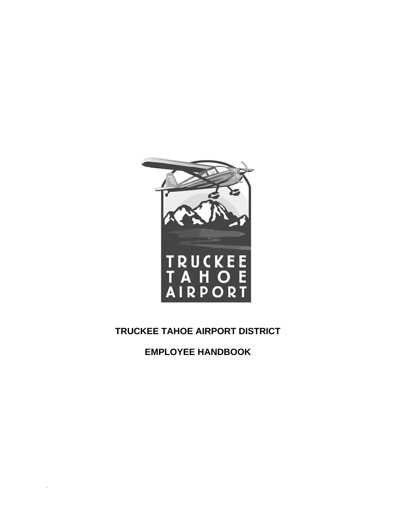

# **TRUCKEE TAHOE AIRPORT DISTRICT**

**EMPLOYEE HANDBOOK**

.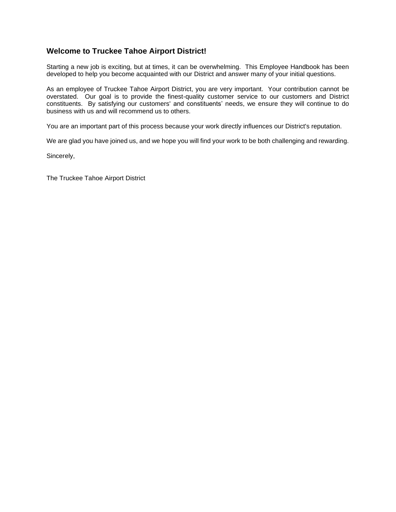## **Welcome to Truckee Tahoe Airport District!**

Starting a new job is exciting, but at times, it can be overwhelming. This Employee Handbook has been developed to help you become acquainted with our District and answer many of your initial questions.

As an employee of Truckee Tahoe Airport District, you are very important. Your contribution cannot be overstated. Our goal is to provide the finest-quality customer service to our customers and District constituents. By satisfying our customers' and constituents' needs, we ensure they will continue to do business with us and will recommend us to others.

You are an important part of this process because your work directly influences our District's reputation.

We are glad you have joined us, and we hope you will find your work to be both challenging and rewarding.

Sincerely,

The Truckee Tahoe Airport District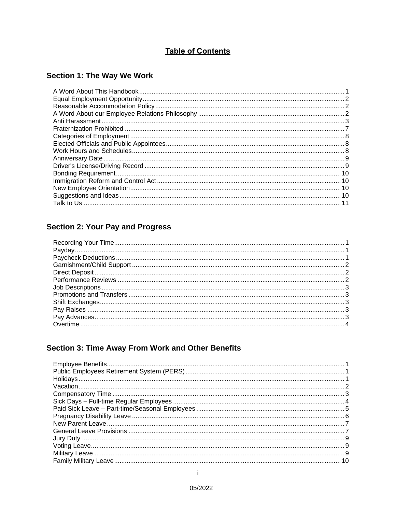## **Table of Contents**

# **Section 1: The Way We Work**

# **Section 2: Your Pay and Progress**

## Section 3: Time Away From Work and Other Benefits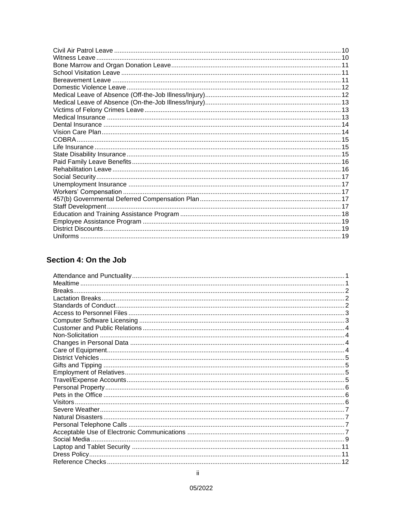## Section 4: On the Job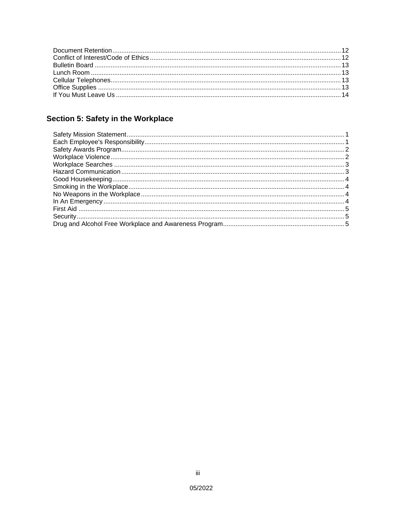# Section 5: Safety in the Workplace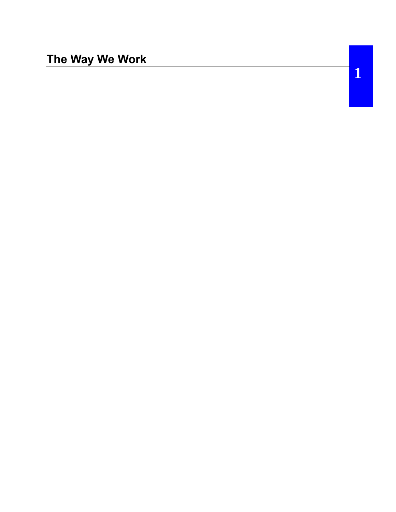**1**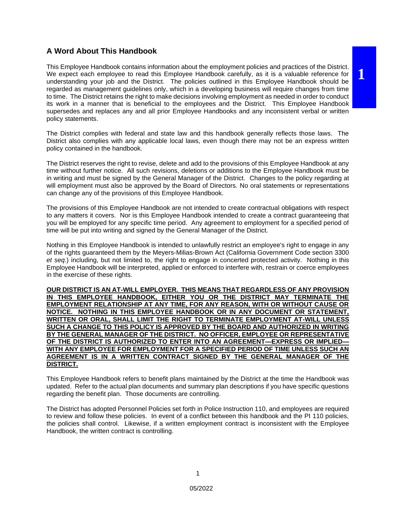## **A Word About This Handbook**

This Employee Handbook contains information about the employment policies and practices of the District. We expect each employee to read this Employee Handbook carefully, as it is a valuable reference for understanding your job and the District. The policies outlined in this Employee Handbook should be regarded as management guidelines only, which in a developing business will require changes from time to time. The District retains the right to make decisions involving employment as needed in order to conduct its work in a manner that is beneficial to the employees and the District. This Employee Handbook supersedes and replaces any and all prior Employee Handbooks and any inconsistent verbal or written policy statements.

The District complies with federal and state law and this handbook generally reflects those laws. The District also complies with any applicable local laws, even though there may not be an express written policy contained in the handbook.

The District reserves the right to revise, delete and add to the provisions of this Employee Handbook at any time without further notice. All such revisions, deletions or additions to the Employee Handbook must be in writing and must be signed by the General Manager of the District. Changes to the policy regarding at will employment must also be approved by the Board of Directors. No oral statements or representations can change any of the provisions of this Employee Handbook.

The provisions of this Employee Handbook are not intended to create contractual obligations with respect to any matters it covers. Nor is this Employee Handbook intended to create a contract guaranteeing that you will be employed for any specific time period. Any agreement to employment for a specified period of time will be put into writing and signed by the General Manager of the District.

Nothing in this Employee Handbook is intended to unlawfully restrict an employee's right to engage in any of the rights guaranteed them by the Meyers-Milias-Brown Act (California Government Code section 3300 *et seq*.) including, but not limited to, the right to engage in concerted protected activity. Nothing in this Employee Handbook will be interpreted, applied or enforced to interfere with, restrain or coerce employees in the exercise of these rights.

**OUR DISTRICT IS AN AT-WILL EMPLOYER. THIS MEANS THAT REGARDLESS OF ANY PROVISION IN THIS EMPLOYEE HANDBOOK, EITHER YOU OR THE DISTRICT MAY TERMINATE THE EMPLOYMENT RELATIONSHIP AT ANY TIME, FOR ANY REASON, WITH OR WITHOUT CAUSE OR NOTICE. NOTHING IN THIS EMPLOYEE HANDBOOK OR IN ANY DOCUMENT OR STATEMENT, WRITTEN OR ORAL, SHALL LIMIT THE RIGHT TO TERMINATE EMPLOYMENT AT-WILL UNLESS SUCH A CHANGE TO THIS POLICY IS APPROVED BY THE BOARD AND AUTHORIZED IN WRITING BY THE GENERAL MANAGER OF THE DISTRICT. NO OFFICER, EMPLOYEE OR REPRESENTATIVE OF THE DISTRICT IS AUTHORIZED TO ENTER INTO AN AGREEMENT—EXPRESS OR IMPLIED— WITH ANY EMPLOYEE FOR EMPLOYMENT FOR A SPECIFIED PERIOD OF TIME UNLESS SUCH AN AGREEMENT IS IN A WRITTEN CONTRACT SIGNED BY THE GENERAL MANAGER OF THE DISTRICT.**

This Employee Handbook refers to benefit plans maintained by the District at the time the Handbook was updated. Refer to the actual plan documents and summary plan descriptions if you have specific questions regarding the benefit plan. Those documents are controlling.

The District has adopted Personnel Policies set forth in Police Instruction 110, and employees are required to review and follow these policies. In event of a conflict between this handbook and the PI 110 policies, the policies shall control. Likewise, if a written employment contract is inconsistent with the Employee Handbook, the written contract is controlling.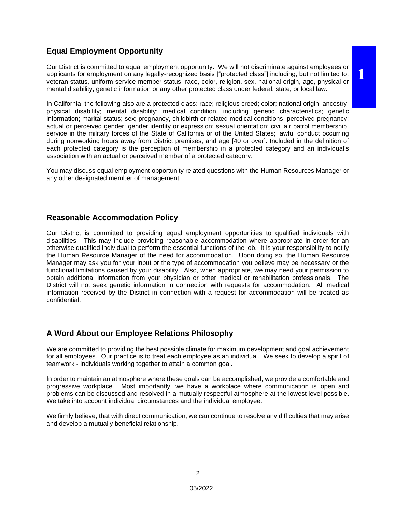#### **Equal Employment Opportunity**

Our District is committed to equal employment opportunity. We will not discriminate against employees or applicants for employment on any legally-recognized basis ["protected class"] including, but not limited to: veteran status, uniform service member status, race, color, religion, sex, national origin, age, physical or mental disability, genetic information or any other protected class under federal, state, or local law.

**1**

In California, the following also are a protected class: race; religious creed; color; national origin; ancestry; physical disability; mental disability; medical condition, including genetic characteristics; genetic information; marital status; sex; pregnancy, childbirth or related medical conditions; perceived pregnancy; actual or perceived gender; gender identity or expression; sexual orientation; civil air patrol membership; service in the military forces of the State of California or of the United States; lawful conduct occurring during nonworking hours away from District premises; and age [40 or over]. Included in the definition of each protected category is the perception of membership in a protected category and an individual's association with an actual or perceived member of a protected category.

You may discuss equal employment opportunity related questions with the Human Resources Manager or any other designated member of management.

#### **Reasonable Accommodation Policy**

Our District is committed to providing equal employment opportunities to qualified individuals with disabilities. This may include providing reasonable accommodation where appropriate in order for an otherwise qualified individual to perform the essential functions of the job. It is your responsibility to notify the Human Resource Manager of the need for accommodation. Upon doing so, the Human Resource Manager may ask you for your input or the type of accommodation you believe may be necessary or the functional limitations caused by your disability. Also, when appropriate, we may need your permission to obtain additional information from your physician or other medical or rehabilitation professionals. The District will not seek genetic information in connection with requests for accommodation. All medical information received by the District in connection with a request for accommodation will be treated as confidential.

## **A Word About our Employee Relations Philosophy**

We are committed to providing the best possible climate for maximum development and goal achievement for all employees. Our practice is to treat each employee as an individual. We seek to develop a spirit of teamwork - individuals working together to attain a common goal.

In order to maintain an atmosphere where these goals can be accomplished, we provide a comfortable and progressive workplace. Most importantly, we have a workplace where communication is open and problems can be discussed and resolved in a mutually respectful atmosphere at the lowest level possible. We take into account individual circumstances and the individual employee.

We firmly believe, that with direct communication, we can continue to resolve any difficulties that may arise and develop a mutually beneficial relationship.

2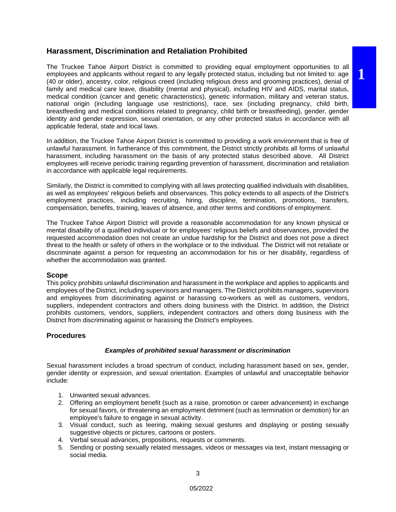#### **Harassment, Discrimination and Retaliation Prohibited**

The Truckee Tahoe Airport District is committed to providing equal employment opportunities to all employees and applicants without regard to any legally protected status, including but not limited to: age (40 or older), ancestry, color, religious creed (including religious dress and grooming practices), denial of family and medical care leave, disability (mental and physical), including HIV and AIDS, marital status, medical condition (cancer and genetic characteristics), genetic information, military and veteran status, national origin (including language use restrictions), race, sex (including pregnancy, child birth, breastfeeding and medical conditions related to pregnancy, child birth or breastfeeding), gender, gender identity and gender expression, sexual orientation, or any other protected status in accordance with all applicable federal, state and local laws.

**1**

In addition, the Truckee Tahoe Airport District is committed to providing a work environment that is free of unlawful harassment. In furtherance of this commitment, the District strictly prohibits all forms of unlawful harassment, including harassment on the basis of any protected status described above. All District employees will receive periodic training regarding prevention of harassment, discrimination and retaliation in accordance with applicable legal requirements.

Similarly, the District is committed to complying with all laws protecting qualified individuals with disabilities, as well as employees' religious beliefs and observances. This policy extends to all aspects of the District's employment practices, including recruiting, hiring, discipline, termination, promotions, transfers, compensation, benefits, training, leaves of absence, and other terms and conditions of employment.

The Truckee Tahoe Airport District will provide a reasonable accommodation for any known physical or mental disability of a qualified individual or for employees' religious beliefs and observances, provided the requested accommodation does not create an undue hardship for the District and does not pose a direct threat to the health or safety of others in the workplace or to the individual. The District will not retaliate or discriminate against a person for requesting an accommodation for his or her disability, regardless of whether the accommodation was granted.

#### **Scope**

This policy prohibits unlawful discrimination and harassment in the workplace and applies to applicants and employees of the District, including supervisors and managers. The District prohibits managers, supervisors and employees from discriminating against or harassing co-workers as well as customers, vendors, suppliers, independent contractors and others doing business with the District. In addition, the District prohibits customers, vendors, suppliers, independent contractors and others doing business with the District from discriminating against or harassing the District's employees.

#### **Procedures**

#### *Examples of prohibited sexual harassment or discrimination*

Sexual harassment includes a broad spectrum of conduct, including harassment based on sex, gender, gender identity or expression, and sexual orientation. Examples of unlawful and unacceptable behavior include:

- 1. Unwanted sexual advances.
- 2. Offering an employment benefit (such as a raise, promotion or career advancement) in exchange for sexual favors, or threatening an employment detriment (such as termination or demotion) for an employee's failure to engage in sexual activity.
- 3. Visual conduct, such as leering, making sexual gestures and displaying or posting sexually suggestive objects or pictures, cartoons or posters.
- 4. Verbal sexual advances, propositions, requests or comments.
- 5. Sending or posting sexually related messages, videos or messages via text, instant messaging or social media.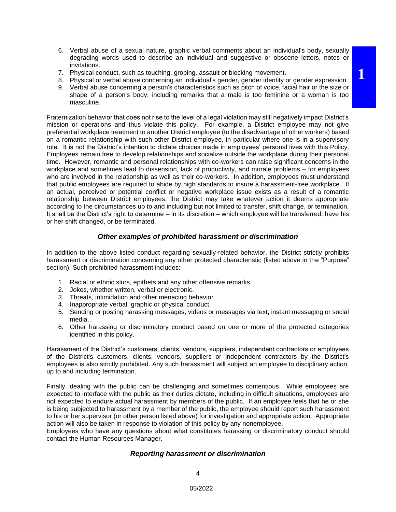**1**

- 7. Physical conduct, such as touching, groping, assault or blocking movement.
- 8. Physical or verbal abuse concerning an individual's gender, gender identity or gender expression.
- 9. Verbal abuse concerning a person's characteristics such as pitch of voice, facial hair or the size or shape of a person's body, including remarks that a male is too feminine or a woman is too masculine.

Fraternization behavior that does not rise to the level of a legal violation may still negatively impact District's mission or operations and thus violate this policy. For example, a District employee may not give preferential workplace treatment to another District employee (to the disadvantage of other workers) based on a romantic relationship with such other District employee, in particular where one is in a supervisory role. It is not the District's intention to dictate choices made in employees' personal lives with this Policy. Employees remain free to develop relationships and socialize outside the workplace during their personal time. However, romantic and personal relationships with co-workers can raise significant concerns in the workplace and sometimes lead to dissension, lack of productivity, and morale problems – for employees who are involved in the relationship as well as their co-workers. In addition, employees must understand that public employees are required to abide by high standards to insure a harassment-free workplace. If an actual, perceived or potential conflict or negative workplace issue exists as a result of a romantic relationship between District employees, the District may take whatever action it deems appropriate according to the circumstances up to and including but not limited to transfer, shift change, or termination. It shall be the District's right to determine – in its discretion – which employee will be transferred, have his or her shift changed, or be terminated.

#### *Other examples of prohibited harassment or discrimination*

In addition to the above listed conduct regarding sexually-related behavior, the District strictly prohibits harassment or discrimination concerning any other protected characteristic (listed above in the "Purpose" section). Such prohibited harassment includes:

- 1. Racial or ethnic slurs, epithets and any other offensive remarks.
- 2. Jokes, whether written, verbal or electronic.

invitations.

- 3. Threats, intimidation and other menacing behavior.
- 4. Inappropriate verbal, graphic or physical conduct.
- 5. Sending or posting harassing messages, videos or messages via text, instant messaging or social media..
- 6. Other harassing or discriminatory conduct based on one or more of the protected categories identified in this policy.

Harassment of the District's customers, clients, vendors, suppliers, independent contractors or employees of the District's customers, clients, vendors, suppliers or independent contractors by the District's employees is also strictly prohibited. Any such harassment will subject an employee to disciplinary action, up to and including termination.

Finally, dealing with the public can be challenging and sometimes contentious. While employees are expected to interface with the public as their duties dictate, including in difficult situations, employees are not expected to endure actual harassment by members of the public. If an employee feels that he or she is being subjected to harassment by a member of the public, the employee should report such harassment to his or her supervisor (or other person listed above) for investigation and appropriate action. Appropriate action will also be taken in response to violation of this policy by any nonemployee.

Employees who have any questions about what constitutes harassing or discriminatory conduct should contact the Human Resources Manager.

#### *Reporting harassment or discrimination*

4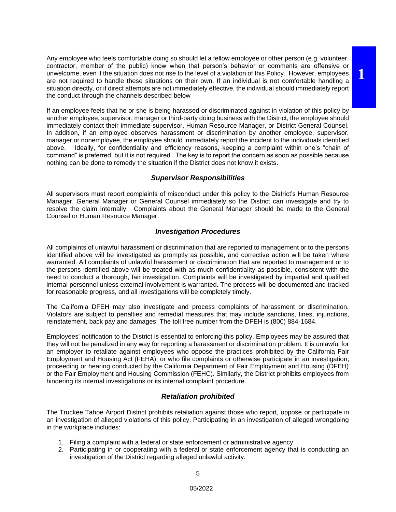Any employee who feels comfortable doing so should let a fellow employee or other person (e.g. volunteer, contractor, member of the public) know when that person's behavior or comments are offensive or unwelcome, even if the situation does not rise to the level of a violation of this Policy. However, employees are not required to handle these situations on their own. If an individual is not comfortable handling a situation directly, or if direct attempts are not immediately effective, the individual should immediately report the conduct through the channels described below

**1**

If an employee feels that he or she is being harassed or discriminated against in violation of this policy by another employee, supervisor, manager or third-party doing business with the District, the employee should immediately contact their immediate supervisor, Human Resource Manager, or District General Counsel. In addition, if an employee observes harassment or discrimination by another employee, supervisor, manager or nonemployee, the employee should immediately report the incident to the individuals identified above. Ideally, for confidentiality and efficiency reasons, keeping a complaint within one's "chain of command" is preferred, but it is not required. The key is to report the concern as soon as possible because nothing can be done to remedy the situation if the District does not know it exists.

#### *Supervisor Responsibilities*

All supervisors must report complaints of misconduct under this policy to the District's Human Resource Manager, General Manager or General Counsel immediately so the District can investigate and try to resolve the claim internally. Complaints about the General Manager should be made to the General Counsel or Human Resource Manager.

#### *Investigation Procedures*

All complaints of unlawful harassment or discrimination that are reported to management or to the persons identified above will be investigated as promptly as possible, and corrective action will be taken where warranted. All complaints of unlawful harassment or discrimination that are reported to management or to the persons identified above will be treated with as much confidentiality as possible, consistent with the need to conduct a thorough, fair investigation. Complaints will be investigated by impartial and qualified internal personnel unless external involvement is warranted. The process will be documented and tracked for reasonable progress, and all investigations will be completely timely.

The California DFEH may also investigate and process complaints of harassment or discrimination. Violators are subject to penalties and remedial measures that may include sanctions, fines, injunctions, reinstatement, back pay and damages. The toll free number from the DFEH is (800) 884-1684.

Employees' notification to the District is essential to enforcing this policy. Employees may be assured that they will not be penalized in any way for reporting a harassment or discrimination problem. It is unlawful for an employer to retaliate against employees who oppose the practices prohibited by the California Fair Employment and Housing Act (FEHA), or who file complaints or otherwise participate in an investigation, proceeding or hearing conducted by the California Department of Fair Employment and Housing (DFEH) or the Fair Employment and Housing Commission (FEHC). Similarly, the District prohibits employees from hindering its internal investigations or its internal complaint procedure.

#### *Retaliation prohibited*

The Truckee Tahoe Airport District prohibits retaliation against those who report, oppose or participate in an investigation of alleged violations of this policy. Participating in an investigation of alleged wrongdoing in the workplace includes:

- 1. Filing a complaint with a federal or state enforcement or administrative agency.
- 2. Participating in or cooperating with a federal or state enforcement agency that is conducting an investigation of the District regarding alleged unlawful activity.

5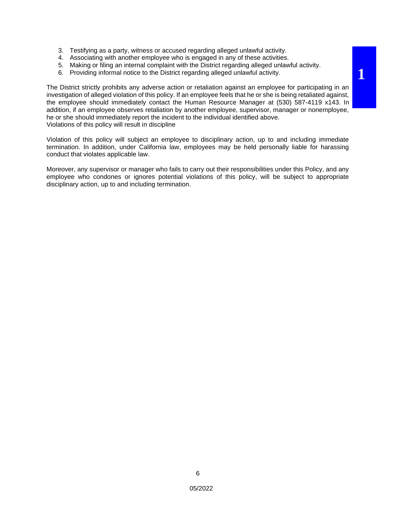- 3. Testifying as a party, witness or accused regarding alleged unlawful activity.
- 4. Associating with another employee who is engaged in any of these activities.
- 5. Making or filing an internal complaint with the District regarding alleged unlawful activity.
- 6. Providing informal notice to the District regarding alleged unlawful activity.

The District strictly prohibits any adverse action or retaliation against an employee for participating in an investigation of alleged violation of this policy. If an employee feels that he or she is being retaliated against, the employee should immediately contact the Human Resource Manager at (530) 587-4119 x143. In addition, if an employee observes retaliation by another employee, supervisor, manager or nonemployee, he or she should immediately report the incident to the individual identified above. Violations of this policy will result in discipline

Violation of this policy will subject an employee to disciplinary action, up to and including immediate termination. In addition, under California law, employees may be held personally liable for harassing conduct that violates applicable law.

Moreover, any supervisor or manager who fails to carry out their responsibilities under this Policy, and any employee who condones or ignores potential violations of this policy, will be subject to appropriate disciplinary action, up to and including termination.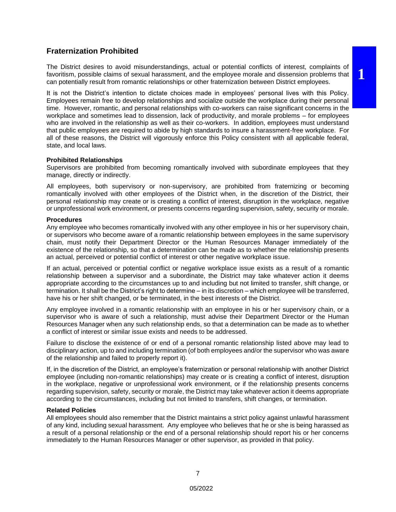# **1**

#### **Fraternization Prohibited**

The District desires to avoid misunderstandings, actual or potential conflicts of interest, complaints of favoritism, possible claims of sexual harassment, and the employee morale and dissension problems that can potentially result from romantic relationships or other fraternization between District employees.

It is not the District's intention to dictate choices made in employees' personal lives with this Policy. Employees remain free to develop relationships and socialize outside the workplace during their personal time. However, romantic, and personal relationships with co-workers can raise significant concerns in the workplace and sometimes lead to dissension, lack of productivity, and morale problems – for employees who are involved in the relationship as well as their co-workers. In addition, employees must understand that public employees are required to abide by high standards to insure a harassment-free workplace. For all of these reasons, the District will vigorously enforce this Policy consistent with all applicable federal, state, and local laws.

#### **Prohibited Relationships**

Supervisors are prohibited from becoming romantically involved with subordinate employees that they manage, directly or indirectly.

All employees, both supervisory or non-supervisory, are prohibited from fraternizing or becoming romantically involved with other employees of the District when, in the discretion of the District, their personal relationship may create or is creating a conflict of interest, disruption in the workplace, negative or unprofessional work environment, or presents concerns regarding supervision, safety, security or morale.

#### **Procedures**

Any employee who becomes romantically involved with any other employee in his or her supervisory chain, or supervisors who become aware of a romantic relationship between employees in the same supervisory chain, must notify their Department Director or the Human Resources Manager immediately of the existence of the relationship, so that a determination can be made as to whether the relationship presents an actual, perceived or potential conflict of interest or other negative workplace issue.

If an actual, perceived or potential conflict or negative workplace issue exists as a result of a romantic relationship between a supervisor and a subordinate, the District may take whatever action it deems appropriate according to the circumstances up to and including but not limited to transfer, shift change, or termination. It shall be the District's right to determine – in its discretion – which employee will be transferred, have his or her shift changed, or be terminated, in the best interests of the District.

Any employee involved in a romantic relationship with an employee in his or her supervisory chain, or a supervisor who is aware of such a relationship, must advise their Department Director or the Human Resources Manager when any such relationship ends, so that a determination can be made as to whether a conflict of interest or similar issue exists and needs to be addressed.

Failure to disclose the existence of or end of a personal romantic relationship listed above may lead to disciplinary action, up to and including termination (of both employees and/or the supervisor who was aware of the relationship and failed to properly report it).

If, in the discretion of the District, an employee's fraternization or personal relationship with another District employee (including non-romantic relationships) may create or is creating a conflict of interest, disruption in the workplace, negative or unprofessional work environment, or if the relationship presents concerns regarding supervision, safety, security or morale, the District may take whatever action it deems appropriate according to the circumstances, including but not limited to transfers, shift changes, or termination.

#### **Related Policies**

All employees should also remember that the District maintains a strict policy against unlawful harassment of any kind, including sexual harassment. Any employee who believes that he or she is being harassed as a result of a personal relationship or the end of a personal relationship should report his or her concerns immediately to the Human Resources Manager or other supervisor, as provided in that policy.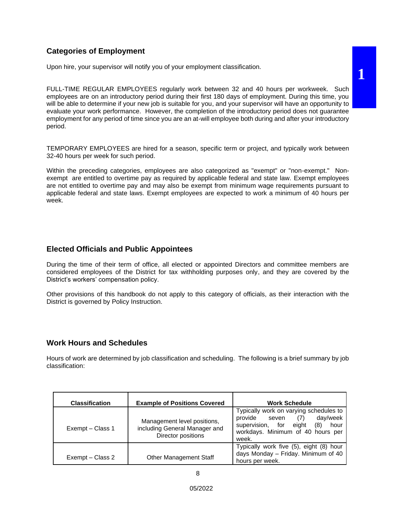## **Categories of Employment**

Upon hire, your supervisor will notify you of your employment classification.

FULL-TIME REGULAR EMPLOYEES regularly work between 32 and 40 hours per workweek. Such employees are on an introductory period during their first 180 days of employment. During this time, you will be able to determine if your new job is suitable for you, and your supervisor will have an opportunity to evaluate your work performance. However, the completion of the introductory period does not guarantee employment for any period of time since you are an at-will employee both during and after your introductory period.

TEMPORARY EMPLOYEES are hired for a season, specific term or project, and typically work between 32-40 hours per week for such period.

Within the preceding categories, employees are also categorized as "exempt" or "non-exempt." Nonexempt are entitled to overtime pay as required by applicable federal and state law. Exempt employees are not entitled to overtime pay and may also be exempt from minimum wage requirements pursuant to applicable federal and state laws. Exempt employees are expected to work a minimum of 40 hours per week.

#### **Elected Officials and Public Appointees**

During the time of their term of office, all elected or appointed Directors and committee members are considered employees of the District for tax withholding purposes only, and they are covered by the District's workers' compensation policy.

Other provisions of this handbook do not apply to this category of officials, as their interaction with the District is governed by Policy Instruction.

## **Work Hours and Schedules**

Hours of work are determined by job classification and scheduling. The following is a brief summary by job classification:

| <b>Classification</b> | <b>Example of Positions Covered</b>                                                | <b>Work Schedule</b>                                                                                                                                                 |  |
|-----------------------|------------------------------------------------------------------------------------|----------------------------------------------------------------------------------------------------------------------------------------------------------------------|--|
| Exempt - Class 1      | Management level positions,<br>including General Manager and<br>Director positions | Typically work on varying schedules to<br>provide<br>day/week<br>(7)<br>seven<br>supervision, for eight<br>(8)<br>hour<br>workdays. Minimum of 40 hours per<br>week. |  |
| Exempt – Class 2      | <b>Other Management Staff</b>                                                      | Typically work five (5), eight (8) hour<br>days Monday - Friday. Minimum of 40<br>hours per week.                                                                    |  |

**1**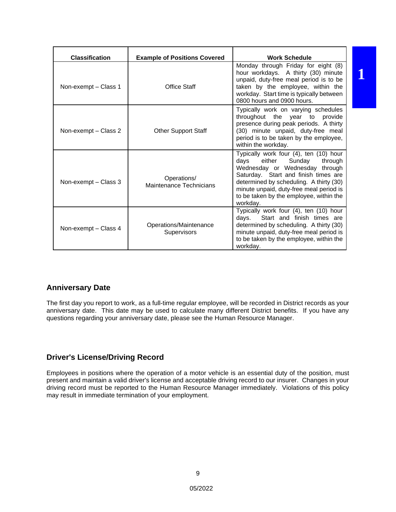| <b>Classification</b><br><b>Example of Positions Covered</b> |                                        | <b>Work Schedule</b>                                                                                                                                                                                                                                                                                 |  |
|--------------------------------------------------------------|----------------------------------------|------------------------------------------------------------------------------------------------------------------------------------------------------------------------------------------------------------------------------------------------------------------------------------------------------|--|
| Non-exempt - Class 1                                         | <b>Office Staff</b>                    | Monday through Friday for eight (8)<br>hour workdays. A thirty (30) minute<br>unpaid, duty-free meal period is to be<br>taken by the employee, within the<br>workday. Start time is typically between<br>0800 hours and 0900 hours.                                                                  |  |
| Non-exempt – Class 2                                         | <b>Other Support Staff</b>             | Typically work on varying schedules<br>throughout the year to provide<br>presence during peak periods. A thirty<br>(30) minute unpaid, duty-free meal<br>period is to be taken by the employee,<br>within the workday.                                                                               |  |
| Non-exempt – Class 3                                         | Operations/<br>Maintenance Technicians | Typically work four (4), ten (10) hour<br>Sunday<br>days<br>either<br>through<br>Wednesday or Wednesday through<br>Saturday. Start and finish times are<br>determined by scheduling. A thirty (30)<br>minute unpaid, duty-free meal period is<br>to be taken by the employee, within the<br>workday. |  |
| Non-exempt – Class 4                                         | Operations/Maintenance<br>Supervisors  | Typically work four (4), ten (10) hour<br>days.<br>Start and finish times are<br>determined by scheduling. A thirty (30)<br>minute unpaid, duty-free meal period is<br>to be taken by the employee, within the<br>workday.                                                                           |  |

## **Anniversary Date**

The first day you report to work, as a full-time regular employee, will be recorded in District records as your anniversary date. This date may be used to calculate many different District benefits. If you have any questions regarding your anniversary date, please see the Human Resource Manager.

## **Driver's License/Driving Record**

Employees in positions where the operation of a motor vehicle is an essential duty of the position, must present and maintain a valid driver's license and acceptable driving record to our insurer. Changes in your driving record must be reported to the Human Resource Manager immediately. Violations of this policy may result in immediate termination of your employment.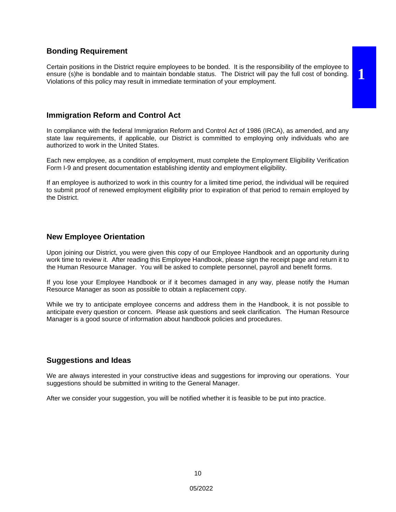#### **Bonding Requirement**

Certain positions in the District require employees to be bonded. It is the responsibility of the employee to ensure (s)he is bondable and to maintain bondable status. The District will pay the full cost of bonding. Violations of this policy may result in immediate termination of your employment.

**1**

#### **Immigration Reform and Control Act**

In compliance with the federal Immigration Reform and Control Act of 1986 (IRCA), as amended, and any state law requirements, if applicable, our District is committed to employing only individuals who are authorized to work in the United States.

Each new employee, as a condition of employment, must complete the Employment Eligibility Verification Form I-9 and present documentation establishing identity and employment eligibility.

If an employee is authorized to work in this country for a limited time period, the individual will be required to submit proof of renewed employment eligibility prior to expiration of that period to remain employed by the District.

#### **New Employee Orientation**

Upon joining our District, you were given this copy of our Employee Handbook and an opportunity during work time to review it. After reading this Employee Handbook, please sign the receipt page and return it to the Human Resource Manager. You will be asked to complete personnel, payroll and benefit forms.

If you lose your Employee Handbook or if it becomes damaged in any way, please notify the Human Resource Manager as soon as possible to obtain a replacement copy.

While we try to anticipate employee concerns and address them in the Handbook, it is not possible to anticipate every question or concern. Please ask questions and seek clarification. The Human Resource Manager is a good source of information about handbook policies and procedures.

#### **Suggestions and Ideas**

We are always interested in your constructive ideas and suggestions for improving our operations. Your suggestions should be submitted in writing to the General Manager.

After we consider your suggestion, you will be notified whether it is feasible to be put into practice.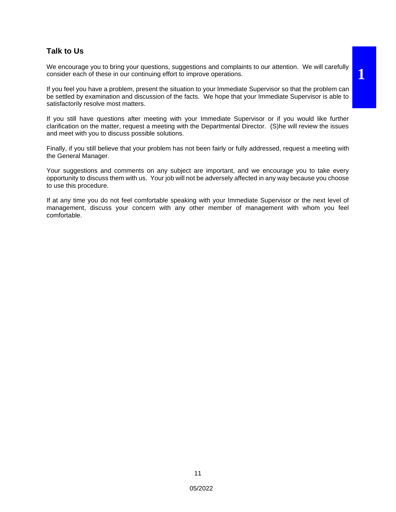#### **Talk to Us**

We encourage you to bring your questions, suggestions and complaints to our attention. We will carefully consider each of these in our continuing effort to improve operations.

If you feel you have a problem, present the situation to your Immediate Supervisor so that the problem can be settled by examination and discussion of the facts. We hope that your Immediate Supervisor is able to satisfactorily resolve most matters.

If you still have questions after meeting with your Immediate Supervisor or if you would like further clarification on the matter, request a meeting with the Departmental Director. (S)he will review the issues and meet with you to discuss possible solutions.

Finally, if you still believe that your problem has not been fairly or fully addressed, request a meeting with the General Manager.

Your suggestions and comments on any subject are important, and we encourage you to take every opportunity to discuss them with us. Your job will not be adversely affected in any way because you choose to use this procedure.

If at any time you do not feel comfortable speaking with your Immediate Supervisor or the next level of management, discuss your concern with any other member of management with whom you feel comfortable.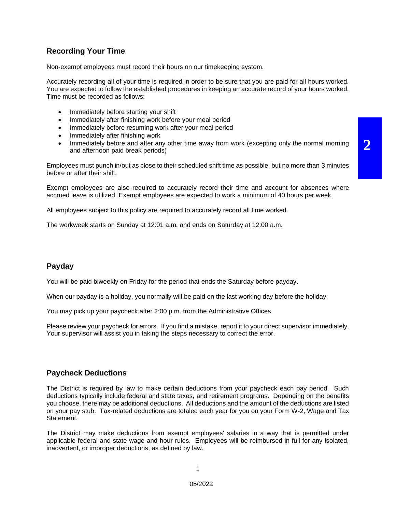## **Recording Your Time**

Non-exempt employees must record their hours on our timekeeping system.

Accurately recording all of your time is required in order to be sure that you are paid for all hours worked. You are expected to follow the established procedures in keeping an accurate record of your hours worked. Time must be recorded as follows:

- Immediately before starting your shift
- Immediately after finishing work before your meal period
- Immediately before resuming work after your meal period
- Immediately after finishing work
- Immediately before and after any other time away from work (excepting only the normal morning and afternoon paid break periods)

Employees must punch in/out as close to their scheduled shift time as possible, but no more than 3 minutes before or after their shift.

Exempt employees are also required to accurately record their time and account for absences where accrued leave is utilized. Exempt employees are expected to work a minimum of 40 hours per week.

All employees subject to this policy are required to accurately record all time worked.

The workweek starts on Sunday at 12:01 a.m. and ends on Saturday at 12:00 a.m.

#### **Payday**

You will be paid biweekly on Friday for the period that ends the Saturday before payday.

When our payday is a holiday, you normally will be paid on the last working day before the holiday.

You may pick up your paycheck after 2:00 p.m. from the Administrative Offices.

Please review your paycheck for errors. If you find a mistake, report it to your direct supervisor immediately. Your supervisor will assist you in taking the steps necessary to correct the error.

#### **Paycheck Deductions**

The District is required by law to make certain deductions from your paycheck each pay period. Such deductions typically include federal and state taxes, and retirement programs. Depending on the benefits you choose, there may be additional deductions. All deductions and the amount of the deductions are listed on your pay stub. Tax-related deductions are totaled each year for you on your Form W-2, Wage and Tax Statement.

The District may make deductions from exempt employees' salaries in a way that is permitted under applicable federal and state wage and hour rules. Employees will be reimbursed in full for any isolated, inadvertent, or improper deductions, as defined by law.

**2**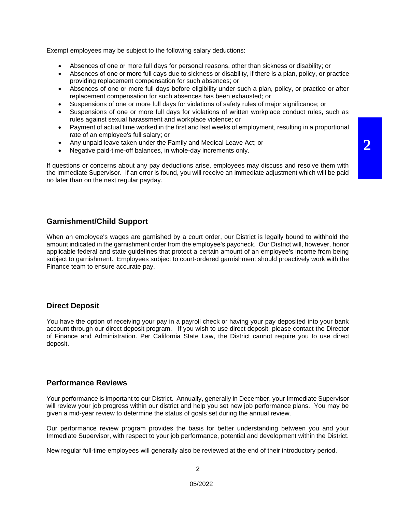Exempt employees may be subject to the following salary deductions:

- Absences of one or more full days for personal reasons, other than sickness or disability; or
- Absences of one or more full days due to sickness or disability, if there is a plan, policy, or practice providing replacement compensation for such absences; or
- Absences of one or more full days before eligibility under such a plan, policy, or practice or after replacement compensation for such absences has been exhausted; or
- Suspensions of one or more full days for violations of safety rules of major significance; or
- Suspensions of one or more full days for violations of written workplace conduct rules, such as rules against sexual harassment and workplace violence; or
- Payment of actual time worked in the first and last weeks of employment, resulting in a proportional rate of an employee's full salary; or

**2**

- Any unpaid leave taken under the Family and Medical Leave Act; or
- Negative paid-time-off balances, in whole-day increments only.

If questions or concerns about any pay deductions arise, employees may discuss and resolve them with the Immediate Supervisor. If an error is found, you will receive an immediate adjustment which will be paid no later than on the next regular payday.

#### **Garnishment/Child Support**

When an employee's wages are garnished by a court order, our District is legally bound to withhold the amount indicated in the garnishment order from the employee's paycheck. Our District will, however, honor applicable federal and state guidelines that protect a certain amount of an employee's income from being subject to garnishment. Employees subject to court-ordered garnishment should proactively work with the Finance team to ensure accurate pay.

#### **Direct Deposit**

You have the option of receiving your pay in a payroll check or having your pay deposited into your bank account through our direct deposit program. If you wish to use direct deposit, please contact the Director of Finance and Administration. Per California State Law, the District cannot require you to use direct deposit.

#### **Performance Reviews**

Your performance is important to our District. Annually, generally in December, your Immediate Supervisor will review your job progress within our district and help you set new job performance plans. You may be given a mid-year review to determine the status of goals set during the annual review.

Our performance review program provides the basis for better understanding between you and your Immediate Supervisor, with respect to your job performance, potential and development within the District.

New regular full-time employees will generally also be reviewed at the end of their introductory period.

2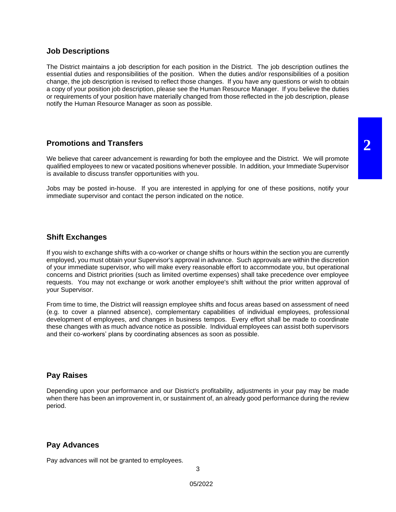#### **Job Descriptions**

The District maintains a job description for each position in the District. The job description outlines the essential duties and responsibilities of the position. When the duties and/or responsibilities of a position change, the job description is revised to reflect those changes. If you have any questions or wish to obtain a copy of your position job description, please see the Human Resource Manager. If you believe the duties or requirements of your position have materially changed from those reflected in the job description, please notify the Human Resource Manager as soon as possible.

## **Promotions and Transfers**

We believe that career advancement is rewarding for both the employee and the District. We will promote qualified employees to new or vacated positions whenever possible. In addition, your Immediate Supervisor is available to discuss transfer opportunities with you.

Jobs may be posted in-house. If you are interested in applying for one of these positions, notify your immediate supervisor and contact the person indicated on the notice.

#### **Shift Exchanges**

If you wish to exchange shifts with a co-worker or change shifts or hours within the section you are currently employed, you must obtain your Supervisor's approval in advance. Such approvals are within the discretion of your immediate supervisor, who will make every reasonable effort to accommodate you, but operational concerns and District priorities (such as limited overtime expenses) shall take precedence over employee requests. You may not exchange or work another employee's shift without the prior written approval of your Supervisor.

From time to time, the District will reassign employee shifts and focus areas based on assessment of need (e.g. to cover a planned absence), complementary capabilities of individual employees, professional development of employees, and changes in business tempos. Every effort shall be made to coordinate these changes with as much advance notice as possible. Individual employees can assist both supervisors and their co-workers' plans by coordinating absences as soon as possible.

## **Pay Raises**

Depending upon your performance and our District's profitability, adjustments in your pay may be made when there has been an improvement in, or sustainment of, an already good performance during the review period.

#### **Pay Advances**

Pay advances will not be granted to employees.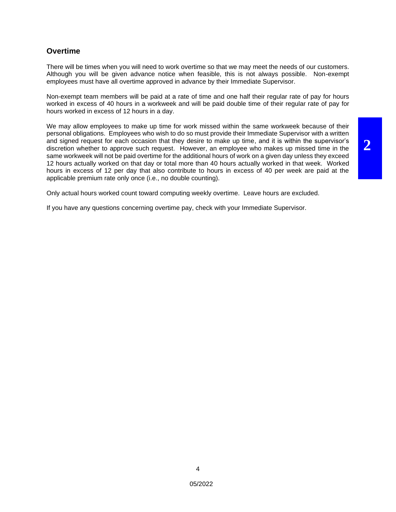#### **Overtime**

There will be times when you will need to work overtime so that we may meet the needs of our customers. Although you will be given advance notice when feasible, this is not always possible. Non-exempt employees must have all overtime approved in advance by their Immediate Supervisor.

Non-exempt team members will be paid at a rate of time and one half their regular rate of pay for hours worked in excess of 40 hours in a workweek and will be paid double time of their regular rate of pay for hours worked in excess of 12 hours in a day.

We may allow employees to make up time for work missed within the same workweek because of their personal obligations. Employees who wish to do so must provide their Immediate Supervisor with a written and signed request for each occasion that they desire to make up time, and it is within the supervisor's discretion whether to approve such request. However, an employee who makes up missed time in the same workweek will not be paid overtime for the additional hours of work on a given day unless they exceed 12 hours actually worked on that day or total more than 40 hours actually worked in that week. Worked hours in excess of 12 per day that also contribute to hours in excess of 40 per week are paid at the applicable premium rate only once (i.e., no double counting).

Only actual hours worked count toward computing weekly overtime. Leave hours are excluded.

If you have any questions concerning overtime pay, check with your Immediate Supervisor.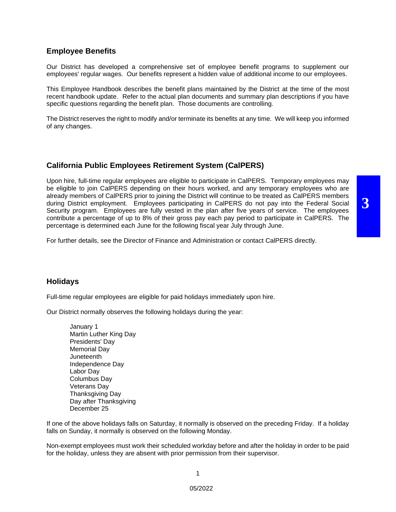#### **Employee Benefits**

Our District has developed a comprehensive set of employee benefit programs to supplement our employees' regular wages. Our benefits represent a hidden value of additional income to our employees.

This Employee Handbook describes the benefit plans maintained by the District at the time of the most recent handbook update. Refer to the actual plan documents and summary plan descriptions if you have specific questions regarding the benefit plan. Those documents are controlling.

The District reserves the right to modify and/or terminate its benefits at any time. We will keep you informed of any changes.

#### **California Public Employees Retirement System (CalPERS)**

Upon hire, full-time regular employees are eligible to participate in CalPERS. Temporary employees may be eligible to join CalPERS depending on their hours worked, and any temporary employees who are already members of CalPERS prior to joining the District will continue to be treated as CalPERS members during District employment. Employees participating in CalPERS do not pay into the Federal Social Security program. Employees are fully vested in the plan after five years of service. The employees contribute a percentage of up to 8% of their gross pay each pay period to participate in CalPERS. The percentage is determined each June for the following fiscal year July through June.

**3**

For further details, see the Director of Finance and Administration or contact CalPERS directly.

#### **Holidays**

Full-time regular employees are eligible for paid holidays immediately upon hire.

Our District normally observes the following holidays during the year:

January 1 Martin Luther King Day Presidents' Day Memorial Day **Juneteenth** Independence Day Labor Day Columbus Day Veterans Day Thanksgiving Day Day after Thanksgiving December 25

If one of the above holidays falls on Saturday, it normally is observed on the preceding Friday. If a holiday falls on Sunday, it normally is observed on the following Monday.

Non-exempt employees must work their scheduled workday before and after the holiday in order to be paid for the holiday, unless they are absent with prior permission from their supervisor.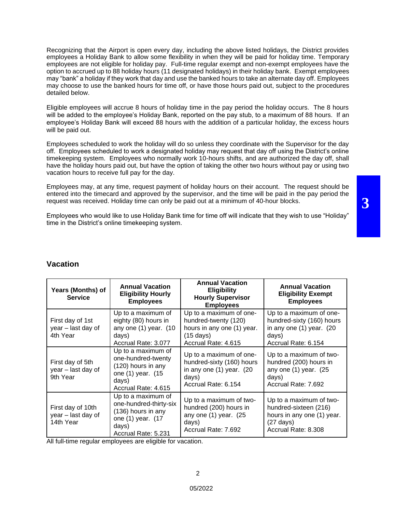Recognizing that the Airport is open every day, including the above listed holidays, the District provides employees a Holiday Bank to allow some flexibility in when they will be paid for holiday time. Temporary employees are not eligible for holiday pay. Full-time regular exempt and non-exempt employees have the option to accrued up to 88 holiday hours (11 designated holidays) in their holiday bank. Exempt employees may "bank" a holiday if they work that day and use the banked hours to take an alternate day off. Employees may choose to use the banked hours for time off, or have those hours paid out, subject to the procedures detailed below.

Eligible employees will accrue 8 hours of holiday time in the pay period the holiday occurs. The 8 hours will be added to the employee's Holiday Bank, reported on the pay stub, to a maximum of 88 hours. If an employee's Holiday Bank will exceed 88 hours with the addition of a particular holiday, the excess hours will be paid out.

Employees scheduled to work the holiday will do so unless they coordinate with the Supervisor for the day off. Employees scheduled to work a designated holiday may request that day off using the District's online timekeeping system. Employees who normally work 10-hours shifts, and are authorized the day off, shall have the holiday hours paid out, but have the option of taking the other two hours without pay or using two vacation hours to receive full pay for the day.

Employees may, at any time, request payment of holiday hours on their account. The request should be entered into the timecard and approved by the supervisor, and the time will be paid in the pay period the request was received. Holiday time can only be paid out at a minimum of 40-hour blocks.

Employees who would like to use Holiday Bank time for time off will indicate that they wish to use "Holiday" time in the District's online timekeeping system.

## **Vacation**

| Years (Months) of<br><b>Service</b>                  | <b>Annual Vacation</b><br><b>Eligibility Hourly</b><br><b>Employees</b>                                                 | <b>Annual Vacation</b><br><b>Eligibility</b><br><b>Hourly Supervisor</b><br><b>Employees</b>                                | <b>Annual Vacation</b><br><b>Eligibility Exempt</b><br><b>Employees</b>                                                      |
|------------------------------------------------------|-------------------------------------------------------------------------------------------------------------------------|-----------------------------------------------------------------------------------------------------------------------------|------------------------------------------------------------------------------------------------------------------------------|
| First day of 1st<br>year - last day of<br>4th Year   | Up to a maximum of<br>eighty (80) hours in<br>any one (1) year. (10<br>days)<br>Accrual Rate: 3.077                     | Up to a maximum of one-<br>hundred-twenty (120)<br>hours in any one (1) year.<br>$(15 \text{ days})$<br>Accrual Rate: 4.615 | Up to a maximum of one-<br>hundred-sixty (160) hours<br>in any one $(1)$ year. $(20)$<br>days)<br>Accrual Rate: 6.154        |
| First day of 5th<br>year - last day of<br>9th Year   | Up to a maximum of<br>one-hundred-twenty<br>(120) hours in any<br>one (1) year. (15<br>days)<br>Accrual Rate: 4.615     | Up to a maximum of one-<br>hundred-sixty (160) hours<br>in any one $(1)$ year. $(20)$<br>days)<br>Accrual Rate: 6.154       | Up to a maximum of two-<br>hundred (200) hours in<br>any one $(1)$ year. $(25)$<br>days)<br>Accrual Rate: 7.692              |
| First day of 10th<br>year - last day of<br>14th Year | Up to a maximum of<br>one-hundred-thirty-six<br>(136) hours in any<br>one (1) year. (17<br>days)<br>Accrual Rate: 5.231 | Up to a maximum of two-<br>hundred (200) hours in<br>any one $(1)$ year. $(25)$<br>days)<br>Accrual Rate: 7.692             | Up to a maximum of two-<br>hundred-sixteen (216)<br>hours in any one (1) year.<br>$(27 \text{ days})$<br>Accrual Rate: 8.308 |

All full-time regular employees are eligible for vacation.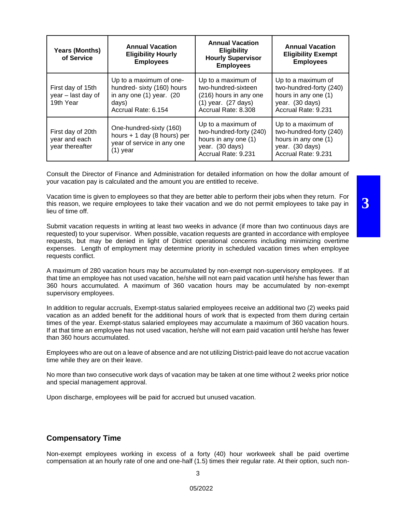| <b>Years (Months)</b><br>of Service                   | <b>Annual Vacation</b><br><b>Eligibility Hourly</b><br><b>Employees</b>                                           | <b>Annual Vacation</b><br><b>Eligibility</b><br><b>Hourly Supervisor</b><br><b>Employees</b>                          | <b>Annual Vacation</b><br><b>Eligibility Exempt</b><br><b>Employees</b>                                         |
|-------------------------------------------------------|-------------------------------------------------------------------------------------------------------------------|-----------------------------------------------------------------------------------------------------------------------|-----------------------------------------------------------------------------------------------------------------|
| First day of 15th<br>year - last day of<br>19th Year  | Up to a maximum of one-<br>hundred- sixty (160) hours<br>in any one (1) year. (20<br>days)<br>Accrual Rate: 6.154 | Up to a maximum of<br>two-hundred-sixteen<br>(216) hours in any one<br>$(1)$ year. $(27$ days)<br>Accrual Rate: 8.308 | Up to a maximum of<br>two-hundred-forty (240)<br>hours in any one (1)<br>year. (30 days)<br>Accrual Rate: 9.231 |
| First day of 20th<br>year and each<br>year thereafter | One-hundred-sixty (160)<br>hours $+ 1$ day (8 hours) per<br>year of service in any one<br>$(1)$ year              | Up to a maximum of<br>two-hundred-forty (240)<br>hours in any one (1)<br>year. (30 days)<br>Accrual Rate: 9.231       | Up to a maximum of<br>two-hundred-forty (240)<br>hours in any one (1)<br>year. (30 days)<br>Accrual Rate: 9.231 |

Consult the Director of Finance and Administration for detailed information on how the dollar amount of your vacation pay is calculated and the amount you are entitled to receive.

Vacation time is given to employees so that they are better able to perform their jobs when they return. For this reason, we require employees to take their vacation and we do not permit employees to take pay in lieu of time off.

Submit vacation requests in writing at least two weeks in advance (if more than two continuous days are requested) to your supervisor. When possible, vacation requests are granted in accordance with employee requests, but may be denied in light of District operational concerns including minimizing overtime expenses. Length of employment may determine priority in scheduled vacation times when employee requests conflict.

A maximum of 280 vacation hours may be accumulated by non-exempt non-supervisory employees. If at that time an employee has not used vacation, he/she will not earn paid vacation until he/she has fewer than 360 hours accumulated. A maximum of 360 vacation hours may be accumulated by non-exempt supervisory employees.

In addition to regular accruals, Exempt-status salaried employees receive an additional two (2) weeks paid vacation as an added benefit for the additional hours of work that is expected from them during certain times of the year. Exempt-status salaried employees may accumulate a maximum of 360 vacation hours. If at that time an employee has not used vacation, he/she will not earn paid vacation until he/she has fewer than 360 hours accumulated.

Employees who are out on a leave of absence and are not utilizing District-paid leave do not accrue vacation time while they are on their leave.

No more than two consecutive work days of vacation may be taken at one time without 2 weeks prior notice and special management approval.

Upon discharge, employees will be paid for accrued but unused vacation.

#### **Compensatory Time**

Non-exempt employees working in excess of a forty (40) hour workweek shall be paid overtime compensation at an hourly rate of one and one-half (1.5) times their regular rate. At their option, such non**3**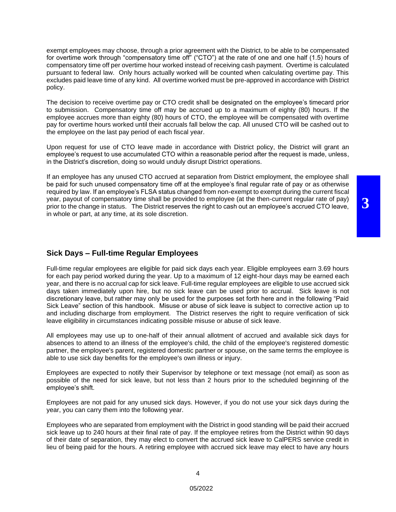exempt employees may choose, through a prior agreement with the District, to be able to be compensated for overtime work through "compensatory time off" ("CTO") at the rate of one and one half (1.5) hours of compensatory time off per overtime hour worked instead of receiving cash payment. Overtime is calculated pursuant to federal law. Only hours actually worked will be counted when calculating overtime pay. This excludes paid leave time of any kind. All overtime worked must be pre-approved in accordance with District policy.

The decision to receive overtime pay or CTO credit shall be designated on the employee's timecard prior to submission. Compensatory time off may be accrued up to a maximum of eighty (80) hours. If the employee accrues more than eighty (80) hours of CTO, the employee will be compensated with overtime pay for overtime hours worked until their accruals fall below the cap. All unused CTO will be cashed out to the employee on the last pay period of each fiscal year.

Upon request for use of CTO leave made in accordance with District policy, the District will grant an employee's request to use accumulated CTO within a reasonable period after the request is made, unless, in the District's discretion, doing so would unduly disrupt District operations.

If an employee has any unused CTO accrued at separation from District employment, the employee shall be paid for such unused compensatory time off at the employee's final regular rate of pay or as otherwise required by law. If an employee's FLSA status changed from non-exempt to exempt during the current fiscal year, payout of compensatory time shall be provided to employee (at the then-current regular rate of pay) prior to the change in status. The District reserves the right to cash out an employee's accrued CTO leave, in whole or part, at any time, at its sole discretion.

#### **Sick Days – Full-time Regular Employees**

Full-time regular employees are eligible for paid sick days each year. Eligible employees earn 3.69 hours for each pay period worked during the year. Up to a maximum of 12 eight-hour days may be earned each year, and there is no accrual cap for sick leave. Full-time regular employees are eligible to use accrued sick days taken immediately upon hire, but no sick leave can be used prior to accrual. Sick leave is not discretionary leave, but rather may only be used for the purposes set forth here and in the following "Paid Sick Leave" section of this handbook. Misuse or abuse of sick leave is subject to corrective action up to and including discharge from employment. The District reserves the right to require verification of sick leave eligibility in circumstances indicating possible misuse or abuse of sick leave.

All employees may use up to one-half of their annual allotment of accrued and available sick days for absences to attend to an illness of the employee's child, the child of the employee's registered domestic partner, the employee's parent, registered domestic partner or spouse, on the same terms the employee is able to use sick day benefits for the employee's own illness or injury.

Employees are expected to notify their Supervisor by telephone or text message (not email) as soon as possible of the need for sick leave, but not less than 2 hours prior to the scheduled beginning of the employee's shift.

Employees are not paid for any unused sick days. However, if you do not use your sick days during the year, you can carry them into the following year.

Employees who are separated from employment with the District in good standing will be paid their accrued sick leave up to 240 hours at their final rate of pay. If the employee retires from the District within 90 days of their date of separation, they may elect to convert the accrued sick leave to CalPERS service credit in lieu of being paid for the hours. A retiring employee with accrued sick leave may elect to have any hours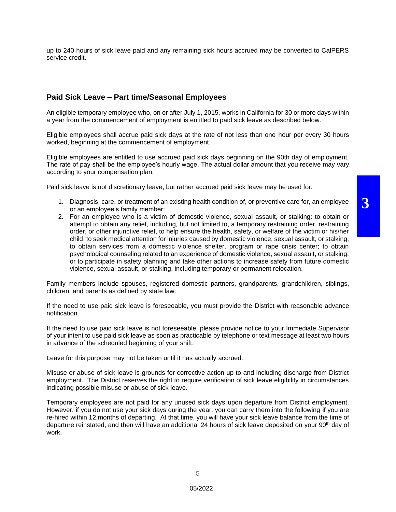up to 240 hours of sick leave paid and any remaining sick hours accrued may be converted to CalPERS service credit.

#### **Paid Sick Leave – Part time/Seasonal Employees**

An eligible temporary employee who, on or after July 1, 2015, works in California for 30 or more days within a year from the commencement of employment is entitled to paid sick leave as described below.

Eligible employees shall accrue paid sick days at the rate of not less than one hour per every 30 hours worked, beginning at the commencement of employment.

Eligible employees are entitled to use accrued paid sick days beginning on the 90th day of employment. The rate of pay shall be the employee's hourly wage. The actual dollar amount that you receive may vary according to your compensation plan.

Paid sick leave is not discretionary leave, but rather accrued paid sick leave may be used for:

- 1. Diagnosis, care, or treatment of an existing health condition of, or preventive care for, an employee or an employee's family member;
- 2. For an employee who is a victim of domestic violence, sexual assault, or stalking: to obtain or attempt to obtain any relief, including, but not limited to, a temporary restraining order, restraining order, or other injunctive relief, to help ensure the health, safety, or welfare of the victim or his/her child; to seek medical attention for injuries caused by domestic violence, sexual assault, or stalking; to obtain services from a domestic violence shelter, program or rape crisis center; to obtain psychological counseling related to an experience of domestic violence, sexual assault, or stalking; or to participate in safety planning and take other actions to increase safety from future domestic violence, sexual assault, or stalking, including temporary or permanent relocation.

Family members include spouses, registered domestic partners, grandparents, grandchildren, siblings, children, and parents as defined by state law.

If the need to use paid sick leave is foreseeable, you must provide the District with reasonable advance notification.

If the need to use paid sick leave is not foreseeable, please provide notice to your Immediate Supervisor of your intent to use paid sick leave as soon as practicable by telephone or text message at least two hours in advance of the scheduled beginning of your shift.

Leave for this purpose may not be taken until it has actually accrued.

Misuse or abuse of sick leave is grounds for corrective action up to and including discharge from District employment. The District reserves the right to require verification of sick leave eligibility in circumstances indicating possible misuse or abuse of sick leave.

Temporary employees are not paid for any unused sick days upon departure from District employment. However, if you do not use your sick days during the year, you can carry them into the following if you are re-hired within 12 months of departing. At that time, you will have your sick leave balance from the time of departure reinstated, and then will have an additional 24 hours of sick leave deposited on your 90<sup>th</sup> day of work.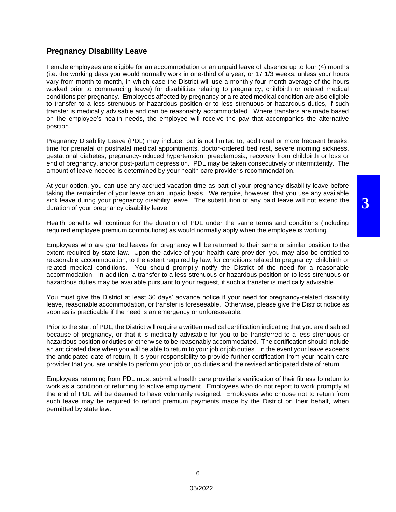**3**

## **Pregnancy Disability Leave**

Female employees are eligible for an accommodation or an unpaid leave of absence up to four (4) months (i.e. the working days you would normally work in one-third of a year, or 17 1/3 weeks, unless your hours vary from month to month, in which case the District will use a monthly four-month average of the hours worked prior to commencing leave) for disabilities relating to pregnancy, childbirth or related medical conditions per pregnancy. Employees affected by pregnancy or a related medical condition are also eligible to transfer to a less strenuous or hazardous position or to less strenuous or hazardous duties, if such transfer is medically advisable and can be reasonably accommodated. Where transfers are made based on the employee's health needs, the employee will receive the pay that accompanies the alternative position.

Pregnancy Disability Leave (PDL) may include, but is not limited to, additional or more frequent breaks, time for prenatal or postnatal medical appointments, doctor-ordered bed rest, severe morning sickness, gestational diabetes, pregnancy-induced hypertension, preeclampsia, recovery from childbirth or loss or end of pregnancy, and/or post-partum depression. PDL may be taken consecutively or intermittently. The amount of leave needed is determined by your health care provider's recommendation.

At your option, you can use any accrued vacation time as part of your pregnancy disability leave before taking the remainder of your leave on an unpaid basis. We require, however, that you use any available sick leave during your pregnancy disability leave. The substitution of any paid leave will not extend the duration of your pregnancy disability leave.

Health benefits will continue for the duration of PDL under the same terms and conditions (including required employee premium contributions) as would normally apply when the employee is working.

Employees who are granted leaves for pregnancy will be returned to their same or similar position to the extent required by state law. Upon the advice of your health care provider, you may also be entitled to reasonable accommodation, to the extent required by law, for conditions related to pregnancy, childbirth or related medical conditions. You should promptly notify the District of the need for a reasonable accommodation. In addition, a transfer to a less strenuous or hazardous position or to less strenuous or hazardous duties may be available pursuant to your request, if such a transfer is medically advisable.

You must give the District at least 30 days' advance notice if your need for pregnancy-related disability leave, reasonable accommodation, or transfer is foreseeable. Otherwise, please give the District notice as soon as is practicable if the need is an emergency or unforeseeable.

Prior to the start of PDL, the District will require a written medical certification indicating that you are disabled because of pregnancy, or that it is medically advisable for you to be transferred to a less strenuous or hazardous position or duties or otherwise to be reasonably accommodated. The certification should include an anticipated date when you will be able to return to your job or job duties. In the event your leave exceeds the anticipated date of return, it is your responsibility to provide further certification from your health care provider that you are unable to perform your job or job duties and the revised anticipated date of return.

Employees returning from PDL must submit a health care provider's verification of their fitness to return to work as a condition of returning to active employment. Employees who do not report to work promptly at the end of PDL will be deemed to have voluntarily resigned. Employees who choose not to return from such leave may be required to refund premium payments made by the District on their behalf, when permitted by state law.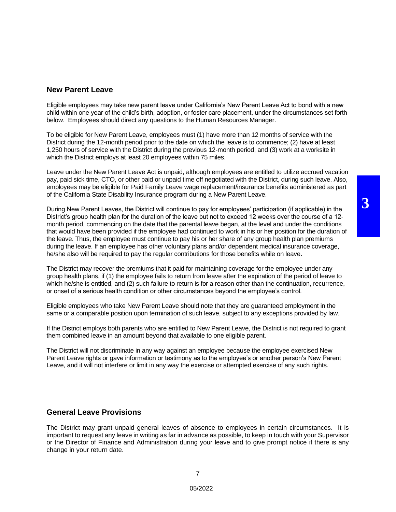#### **New Parent Leave**

Eligible employees may take new parent leave under California's New Parent Leave Act to bond with a new child within one year of the child's birth, adoption, or foster care placement, under the circumstances set forth below. Employees should direct any questions to the Human Resources Manager.

To be eligible for New Parent Leave, employees must (1) have more than 12 months of service with the District during the 12-month period prior to the date on which the leave is to commence; (2) have at least 1,250 hours of service with the District during the previous 12-month period; and (3) work at a worksite in which the District employs at least 20 employees within 75 miles.

Leave under the New Parent Leave Act is unpaid, although employees are entitled to utilize accrued vacation pay, paid sick time, CTO, or other paid or unpaid time off negotiated with the District, during such leave. Also, employees may be eligible for Paid Family Leave wage replacement/insurance benefits administered as part of the California State Disability Insurance program during a New Parent Leave.

During New Parent Leaves, the District will continue to pay for employees' participation (if applicable) in the District's group health plan for the duration of the leave but not to exceed 12 weeks over the course of a 12 month period, commencing on the date that the parental leave began, at the level and under the conditions that would have been provided if the employee had continued to work in his or her position for the duration of the leave. Thus, the employee must continue to pay his or her share of any group health plan premiums during the leave. If an employee has other voluntary plans and/or dependent medical insurance coverage, he/she also will be required to pay the regular contributions for those benefits while on leave.

The District may recover the premiums that it paid for maintaining coverage for the employee under any group health plans, if (1) the employee fails to return from leave after the expiration of the period of leave to which he/she is entitled, and (2) such failure to return is for a reason other than the continuation, recurrence, or onset of a serious health condition or other circumstances beyond the employee's control.

Eligible employees who take New Parent Leave should note that they are guaranteed employment in the same or a comparable position upon termination of such leave, subject to any exceptions provided by law.

If the District employs both parents who are entitled to New Parent Leave, the District is not required to grant them combined leave in an amount beyond that available to one eligible parent.

The District will not discriminate in any way against an employee because the employee exercised New Parent Leave rights or gave information or testimony as to the employee's or another person's New Parent Leave, and it will not interfere or limit in any way the exercise or attempted exercise of any such rights.

#### **General Leave Provisions**

The District may grant unpaid general leaves of absence to employees in certain circumstances. It is important to request any leave in writing as far in advance as possible, to keep in touch with your Supervisor or the Director of Finance and Administration during your leave and to give prompt notice if there is any change in your return date.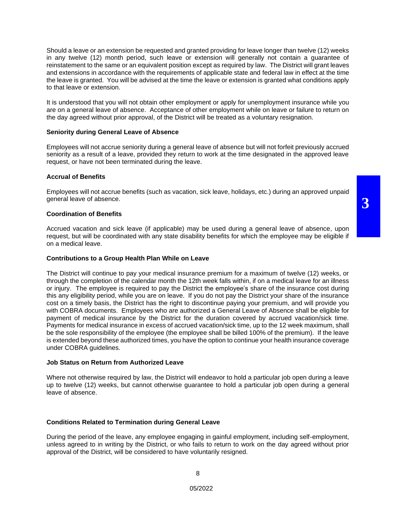Should a leave or an extension be requested and granted providing for leave longer than twelve (12) weeks in any twelve (12) month period, such leave or extension will generally not contain a guarantee of reinstatement to the same or an equivalent position except as required by law. The District will grant leaves and extensions in accordance with the requirements of applicable state and federal law in effect at the time the leave is granted. You will be advised at the time the leave or extension is granted what conditions apply to that leave or extension.

It is understood that you will not obtain other employment or apply for unemployment insurance while you are on a general leave of absence. Acceptance of other employment while on leave or failure to return on the day agreed without prior approval, of the District will be treated as a voluntary resignation.

#### **Seniority during General Leave of Absence**

Employees will not accrue seniority during a general leave of absence but will not forfeit previously accrued seniority as a result of a leave, provided they return to work at the time designated in the approved leave request, or have not been terminated during the leave.

#### **Accrual of Benefits**

Employees will not accrue benefits (such as vacation, sick leave, holidays, etc.) during an approved unpaid general leave of absence.

#### **Coordination of Benefits**

Accrued vacation and sick leave (if applicable) may be used during a general leave of absence, upon request, but will be coordinated with any state disability benefits for which the employee may be eligible if on a medical leave.

#### **Contributions to a Group Health Plan While on Leave**

The District will continue to pay your medical insurance premium for a maximum of twelve (12) weeks, or through the completion of the calendar month the 12th week falls within, if on a medical leave for an illness or injury. The employee is required to pay the District the employee's share of the insurance cost during this any eligibility period, while you are on leave. If you do not pay the District your share of the insurance cost on a timely basis, the District has the right to discontinue paying your premium, and will provide you with COBRA documents. Employees who are authorized a General Leave of Absence shall be eligible for payment of medical insurance by the District for the duration covered by accrued vacation/sick time. Payments for medical insurance in excess of accrued vacation/sick time, up to the 12 week maximum, shall be the sole responsibility of the employee (the employee shall be billed 100% of the premium). If the leave is extended beyond these authorized times, you have the option to continue your health insurance coverage under COBRA guidelines.

#### **Job Status on Return from Authorized Leave**

Where not otherwise required by law, the District will endeavor to hold a particular job open during a leave up to twelve (12) weeks, but cannot otherwise guarantee to hold a particular job open during a general leave of absence.

#### **Conditions Related to Termination during General Leave**

During the period of the leave, any employee engaging in gainful employment, including self-employment, unless agreed to in writing by the District, or who fails to return to work on the day agreed without prior approval of the District, will be considered to have voluntarily resigned.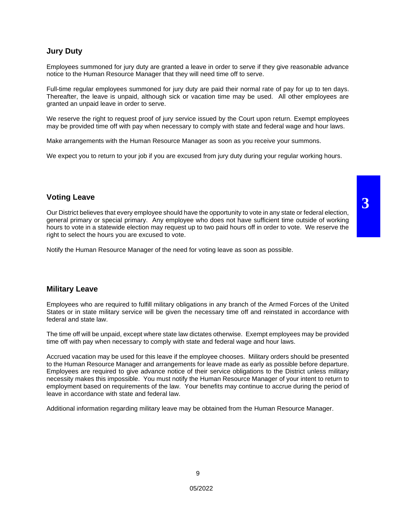#### **Jury Duty**

Employees summoned for jury duty are granted a leave in order to serve if they give reasonable advance notice to the Human Resource Manager that they will need time off to serve.

Full-time regular employees summoned for jury duty are paid their normal rate of pay for up to ten days. Thereafter, the leave is unpaid, although sick or vacation time may be used. All other employees are granted an unpaid leave in order to serve.

We reserve the right to request proof of jury service issued by the Court upon return. Exempt employees may be provided time off with pay when necessary to comply with state and federal wage and hour laws.

Make arrangements with the Human Resource Manager as soon as you receive your summons.

We expect you to return to your job if you are excused from jury duty during your regular working hours.

#### **Voting Leave**

Our District believes that every employee should have the opportunity to vote in any state or federal election, general primary or special primary. Any employee who does not have sufficient time outside of working hours to vote in a statewide election may request up to two paid hours off in order to vote. We reserve the right to select the hours you are excused to vote.

Notify the Human Resource Manager of the need for voting leave as soon as possible.

#### **Military Leave**

Employees who are required to fulfill military obligations in any branch of the Armed Forces of the United States or in state military service will be given the necessary time off and reinstated in accordance with federal and state law.

The time off will be unpaid, except where state law dictates otherwise. Exempt employees may be provided time off with pay when necessary to comply with state and federal wage and hour laws.

Accrued vacation may be used for this leave if the employee chooses. Military orders should be presented to the Human Resource Manager and arrangements for leave made as early as possible before departure. Employees are required to give advance notice of their service obligations to the District unless military necessity makes this impossible. You must notify the Human Resource Manager of your intent to return to employment based on requirements of the law. Your benefits may continue to accrue during the period of leave in accordance with state and federal law.

Additional information regarding military leave may be obtained from the Human Resource Manager.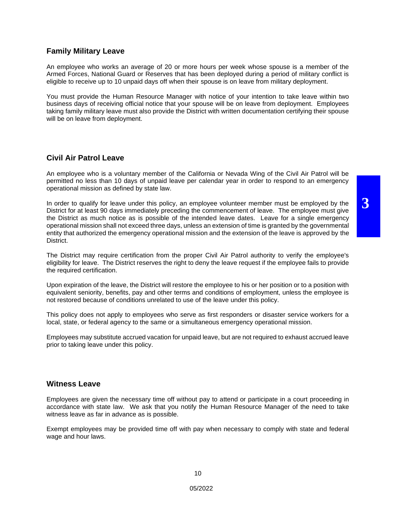#### **Family Military Leave**

An employee who works an average of 20 or more hours per week whose spouse is a member of the Armed Forces, National Guard or Reserves that has been deployed during a period of military conflict is eligible to receive up to 10 unpaid days off when their spouse is on leave from military deployment.

You must provide the Human Resource Manager with notice of your intention to take leave within two business days of receiving official notice that your spouse will be on leave from deployment. Employees taking family military leave must also provide the District with written documentation certifying their spouse will be on leave from deployment.

#### **Civil Air Patrol Leave**

An employee who is a voluntary member of the California or Nevada Wing of the Civil Air Patrol will be permitted no less than 10 days of unpaid leave per calendar year in order to respond to an emergency operational mission as defined by state law.

In order to qualify for leave under this policy, an employee volunteer member must be employed by the District for at least 90 days immediately preceding the commencement of leave. The employee must give the District as much notice as is possible of the intended leave dates. Leave for a single emergency operational mission shall not exceed three days, unless an extension of time is granted by the governmental entity that authorized the emergency operational mission and the extension of the leave is approved by the District.

The District may require certification from the proper Civil Air Patrol authority to verify the employee's eligibility for leave. The District reserves the right to deny the leave request if the employee fails to provide the required certification.

Upon expiration of the leave, the District will restore the employee to his or her position or to a position with equivalent seniority, benefits, pay and other terms and conditions of employment, unless the employee is not restored because of conditions unrelated to use of the leave under this policy.

This policy does not apply to employees who serve as first responders or disaster service workers for a local, state, or federal agency to the same or a simultaneous emergency operational mission.

Employees may substitute accrued vacation for unpaid leave, but are not required to exhaust accrued leave prior to taking leave under this policy.

#### **Witness Leave**

Employees are given the necessary time off without pay to attend or participate in a court proceeding in accordance with state law. We ask that you notify the Human Resource Manager of the need to take witness leave as far in advance as is possible.

Exempt employees may be provided time off with pay when necessary to comply with state and federal wage and hour laws.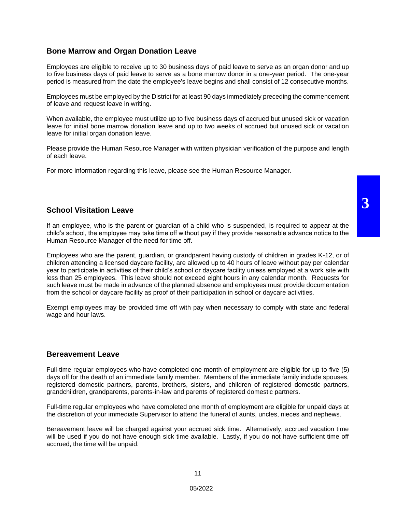#### **Bone Marrow and Organ Donation Leave**

Employees are eligible to receive up to 30 business days of paid leave to serve as an organ donor and up to five business days of paid leave to serve as a bone marrow donor in a one-year period. The one-year period is measured from the date the employee's leave begins and shall consist of 12 consecutive months.

Employees must be employed by the District for at least 90 days immediately preceding the commencement of leave and request leave in writing.

When available, the employee must utilize up to five business days of accrued but unused sick or vacation leave for initial bone marrow donation leave and up to two weeks of accrued but unused sick or vacation leave for initial organ donation leave.

Please provide the Human Resource Manager with written physician verification of the purpose and length of each leave.

For more information regarding this leave, please see the Human Resource Manager.

#### **School Visitation Leave**

If an employee, who is the parent or guardian of a child who is suspended, is required to appear at the child's school, the employee may take time off without pay if they provide reasonable advance notice to the Human Resource Manager of the need for time off.

Employees who are the parent, guardian, or grandparent having custody of children in grades K-12, or of children attending a licensed daycare facility, are allowed up to 40 hours of leave without pay per calendar year to participate in activities of their child's school or daycare facility unless employed at a work site with less than 25 employees. This leave should not exceed eight hours in any calendar month. Requests for such leave must be made in advance of the planned absence and employees must provide documentation from the school or daycare facility as proof of their participation in school or daycare activities.

Exempt employees may be provided time off with pay when necessary to comply with state and federal wage and hour laws.

#### **Bereavement Leave**

Full-time regular employees who have completed one month of employment are eligible for up to five (5) days off for the death of an immediate family member. Members of the immediate family include spouses, registered domestic partners, parents, brothers, sisters, and children of registered domestic partners, grandchildren, grandparents, parents-in-law and parents of registered domestic partners.

Full-time regular employees who have completed one month of employment are eligible for unpaid days at the discretion of your immediate Supervisor to attend the funeral of aunts, uncles, nieces and nephews.

Bereavement leave will be charged against your accrued sick time. Alternatively, accrued vacation time will be used if you do not have enough sick time available. Lastly, if you do not have sufficient time off accrued, the time will be unpaid.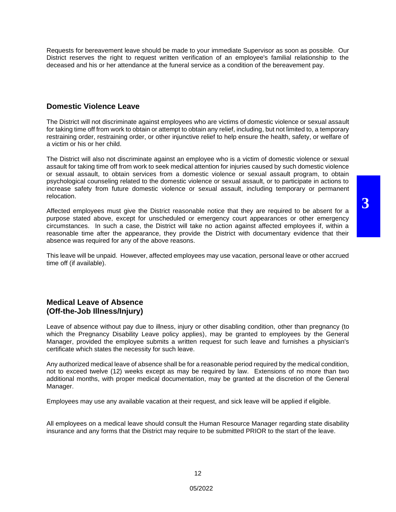Requests for bereavement leave should be made to your immediate Supervisor as soon as possible. Our District reserves the right to request written verification of an employee's familial relationship to the deceased and his or her attendance at the funeral service as a condition of the bereavement pay.

#### **Domestic Violence Leave**

The District will not discriminate against employees who are victims of domestic violence or sexual assault for taking time off from work to obtain or attempt to obtain any relief, including, but not limited to, a temporary restraining order, restraining order, or other injunctive relief to help ensure the health, safety, or welfare of a victim or his or her child.

The District will also not discriminate against an employee who is a victim of domestic violence or sexual assault for taking time off from work to seek medical attention for injuries caused by such domestic violence or sexual assault, to obtain services from a domestic violence or sexual assault program, to obtain psychological counseling related to the domestic violence or sexual assault, or to participate in actions to increase safety from future domestic violence or sexual assault, including temporary or permanent relocation.

Affected employees must give the District reasonable notice that they are required to be absent for a purpose stated above, except for unscheduled or emergency court appearances or other emergency circumstances. In such a case, the District will take no action against affected employees if, within a reasonable time after the appearance, they provide the District with documentary evidence that their absence was required for any of the above reasons.

This leave will be unpaid. However, affected employees may use vacation, personal leave or other accrued time off (if available).

#### **Medical Leave of Absence (Off-the-Job Illness/Injury)**

Leave of absence without pay due to illness, injury or other disabling condition, other than pregnancy (to which the Pregnancy Disability Leave policy applies), may be granted to employees by the General Manager, provided the employee submits a written request for such leave and furnishes a physician's certificate which states the necessity for such leave.

Any authorized medical leave of absence shall be for a reasonable period required by the medical condition, not to exceed twelve (12) weeks except as may be required by law. Extensions of no more than two additional months, with proper medical documentation, may be granted at the discretion of the General Manager.

Employees may use any available vacation at their request, and sick leave will be applied if eligible.

All employees on a medical leave should consult the Human Resource Manager regarding state disability insurance and any forms that the District may require to be submitted PRIOR to the start of the leave.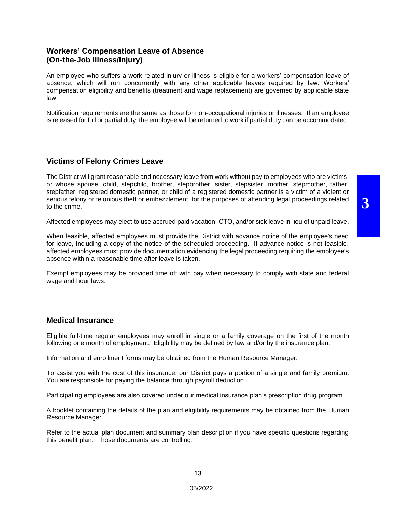#### **Workers' Compensation Leave of Absence (On-the-Job Illness/Injury)**

An employee who suffers a work-related injury or illness is eligible for a workers' compensation leave of absence, which will run concurrently with any other applicable leaves required by law. Workers' compensation eligibility and benefits (treatment and wage replacement) are governed by applicable state law.

Notification requirements are the same as those for non-occupational injuries or illnesses. If an employee is released for full or partial duty, the employee will be returned to work if partial duty can be accommodated.

#### **Victims of Felony Crimes Leave**

The District will grant reasonable and necessary leave from work without pay to employees who are victims, or whose spouse, child, stepchild, brother, stepbrother, sister, stepsister, mother, stepmother, father, stepfather, registered domestic partner, or child of a registered domestic partner is a victim of a violent or serious felony or felonious theft or embezzlement, for the purposes of attending legal proceedings related to the crime.

Affected employees may elect to use accrued paid vacation, CTO, and/or sick leave in lieu of unpaid leave.

When feasible, affected employees must provide the District with advance notice of the employee's need for leave, including a copy of the notice of the scheduled proceeding. If advance notice is not feasible, affected employees must provide documentation evidencing the legal proceeding requiring the employee's absence within a reasonable time after leave is taken.

Exempt employees may be provided time off with pay when necessary to comply with state and federal wage and hour laws.

#### **Medical Insurance**

Eligible full-time regular employees may enroll in single or a family coverage on the first of the month following one month of employment. Eligibility may be defined by law and/or by the insurance plan.

Information and enrollment forms may be obtained from the Human Resource Manager.

To assist you with the cost of this insurance, our District pays a portion of a single and family premium. You are responsible for paying the balance through payroll deduction.

Participating employees are also covered under our medical insurance plan's prescription drug program.

A booklet containing the details of the plan and eligibility requirements may be obtained from the Human Resource Manager.

Refer to the actual plan document and summary plan description if you have specific questions regarding this benefit plan. Those documents are controlling.

**3**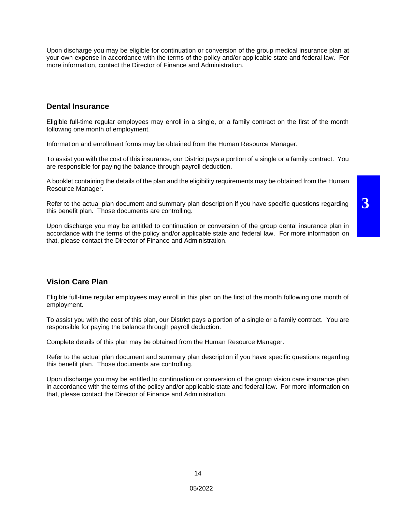**3**

Upon discharge you may be eligible for continuation or conversion of the group medical insurance plan at your own expense in accordance with the terms of the policy and/or applicable state and federal law. For more information, contact the Director of Finance and Administration.

#### **Dental Insurance**

Eligible full-time regular employees may enroll in a single, or a family contract on the first of the month following one month of employment.

Information and enrollment forms may be obtained from the Human Resource Manager.

To assist you with the cost of this insurance, our District pays a portion of a single or a family contract. You are responsible for paying the balance through payroll deduction.

A booklet containing the details of the plan and the eligibility requirements may be obtained from the Human Resource Manager.

Refer to the actual plan document and summary plan description if you have specific questions regarding this benefit plan. Those documents are controlling.

Upon discharge you may be entitled to continuation or conversion of the group dental insurance plan in accordance with the terms of the policy and/or applicable state and federal law. For more information on that, please contact the Director of Finance and Administration.

#### **Vision Care Plan**

Eligible full-time regular employees may enroll in this plan on the first of the month following one month of employment.

To assist you with the cost of this plan, our District pays a portion of a single or a family contract. You are responsible for paying the balance through payroll deduction.

Complete details of this plan may be obtained from the Human Resource Manager.

Refer to the actual plan document and summary plan description if you have specific questions regarding this benefit plan. Those documents are controlling.

Upon discharge you may be entitled to continuation or conversion of the group vision care insurance plan in accordance with the terms of the policy and/or applicable state and federal law. For more information on that, please contact the Director of Finance and Administration.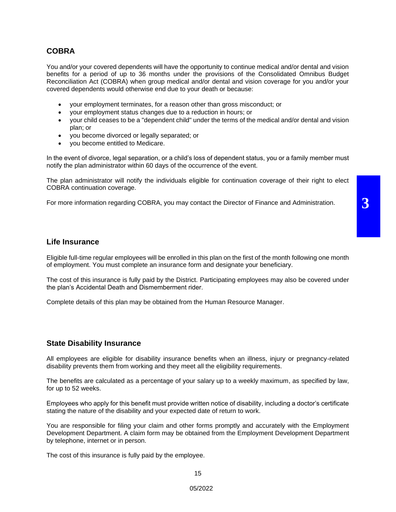#### **COBRA**

You and/or your covered dependents will have the opportunity to continue medical and/or dental and vision benefits for a period of up to 36 months under the provisions of the Consolidated Omnibus Budget Reconciliation Act (COBRA) when group medical and/or dental and vision coverage for you and/or your covered dependents would otherwise end due to your death or because:

- your employment terminates, for a reason other than gross misconduct; or
- your employment status changes due to a reduction in hours; or
- your child ceases to be a "dependent child" under the terms of the medical and/or dental and vision plan; or
- you become divorced or legally separated; or
- you become entitled to Medicare.

In the event of divorce, legal separation, or a child's loss of dependent status, you or a family member must notify the plan administrator within 60 days of the occurrence of the event.

The plan administrator will notify the individuals eligible for continuation coverage of their right to elect COBRA continuation coverage.

**3**

For more information regarding COBRA, you may contact the Director of Finance and Administration.

#### **Life Insurance**

Eligible full-time regular employees will be enrolled in this plan on the first of the month following one month of employment. You must complete an insurance form and designate your beneficiary.

The cost of this insurance is fully paid by the District. Participating employees may also be covered under the plan's Accidental Death and Dismemberment rider.

Complete details of this plan may be obtained from the Human Resource Manager.

#### **State Disability Insurance**

All employees are eligible for disability insurance benefits when an illness, injury or pregnancy-related disability prevents them from working and they meet all the eligibility requirements.

The benefits are calculated as a percentage of your salary up to a weekly maximum, as specified by law, for up to 52 weeks.

Employees who apply for this benefit must provide written notice of disability, including a doctor's certificate stating the nature of the disability and your expected date of return to work.

You are responsible for filing your claim and other forms promptly and accurately with the Employment Development Department. A claim form may be obtained from the Employment Development Department by telephone, internet or in person.

The cost of this insurance is fully paid by the employee.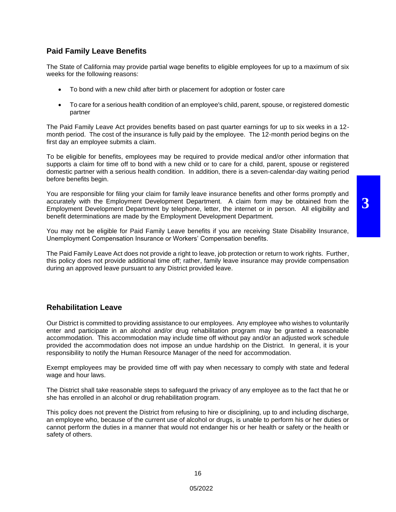#### **Paid Family Leave Benefits**

The State of California may provide partial wage benefits to eligible employees for up to a maximum of six weeks for the following reasons:

- To bond with a new child after birth or placement for adoption or foster care
- To care for a serious health condition of an employee's child, parent, spouse, or registered domestic partner

The Paid Family Leave Act provides benefits based on past quarter earnings for up to six weeks in a 12 month period. The cost of the insurance is fully paid by the employee. The 12-month period begins on the first day an employee submits a claim.

To be eligible for benefits, employees may be required to provide medical and/or other information that supports a claim for time off to bond with a new child or to care for a child, parent, spouse or registered domestic partner with a serious health condition. In addition, there is a seven-calendar-day waiting period before benefits begin.

You are responsible for filing your claim for family leave insurance benefits and other forms promptly and accurately with the Employment Development Department. A claim form may be obtained from the Employment Development Department by telephone, letter, the internet or in person. All eligibility and benefit determinations are made by the Employment Development Department.

You may not be eligible for Paid Family Leave benefits if you are receiving State Disability Insurance, Unemployment Compensation Insurance or Workers' Compensation benefits.

The Paid Family Leave Act does not provide a right to leave, job protection or return to work rights. Further, this policy does not provide additional time off; rather, family leave insurance may provide compensation during an approved leave pursuant to any District provided leave.

#### **Rehabilitation Leave**

Our District is committed to providing assistance to our employees. Any employee who wishes to voluntarily enter and participate in an alcohol and/or drug rehabilitation program may be granted a reasonable accommodation. This accommodation may include time off without pay and/or an adjusted work schedule provided the accommodation does not impose an undue hardship on the District. In general, it is your responsibility to notify the Human Resource Manager of the need for accommodation.

Exempt employees may be provided time off with pay when necessary to comply with state and federal wage and hour laws.

The District shall take reasonable steps to safeguard the privacy of any employee as to the fact that he or she has enrolled in an alcohol or drug rehabilitation program.

This policy does not prevent the District from refusing to hire or disciplining, up to and including discharge, an employee who, because of the current use of alcohol or drugs, is unable to perform his or her duties or cannot perform the duties in a manner that would not endanger his or her health or safety or the health or safety of others.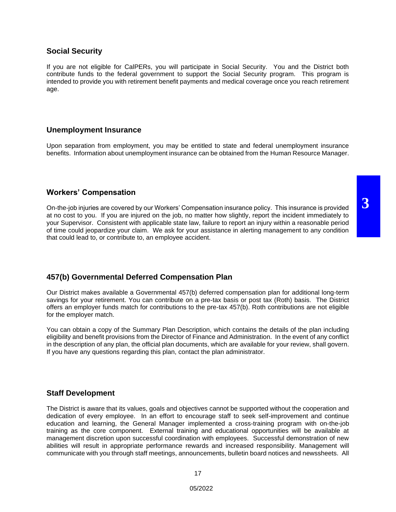#### **Social Security**

If you are not eligible for CalPERs, you will participate in Social Security. You and the District both contribute funds to the federal government to support the Social Security program. This program is intended to provide you with retirement benefit payments and medical coverage once you reach retirement age.

#### **Unemployment Insurance**

Upon separation from employment, you may be entitled to state and federal unemployment insurance benefits. Information about unemployment insurance can be obtained from the Human Resource Manager.

#### **Workers' Compensation**

On-the-job injuries are covered by our Workers' Compensation insurance policy. This insurance is provided at no cost to you. If you are injured on the job, no matter how slightly, report the incident immediately to your Supervisor. Consistent with applicable state law, failure to report an injury within a reasonable period of time could jeopardize your claim. We ask for your assistance in alerting management to any condition that could lead to, or contribute to, an employee accident.

#### **457(b) Governmental Deferred Compensation Plan**

Our District makes available a Governmental 457(b) deferred compensation plan for additional long-term savings for your retirement. You can contribute on a pre-tax basis or post tax (Roth) basis. The District offers an employer funds match for contributions to the pre-tax 457(b). Roth contributions are not eligible for the employer match.

You can obtain a copy of the Summary Plan Description, which contains the details of the plan including eligibility and benefit provisions from the Director of Finance and Administration. In the event of any conflict in the description of any plan, the official plan documents, which are available for your review, shall govern. If you have any questions regarding this plan, contact the plan administrator.

#### **Staff Development**

The District is aware that its values, goals and objectives cannot be supported without the cooperation and dedication of every employee. In an effort to encourage staff to seek self-improvement and continue education and learning, the General Manager implemented a cross-training program with on-the-job training as the core component. External training and educational opportunities will be available at management discretion upon successful coordination with employees. Successful demonstration of new abilities will result in appropriate performance rewards and increased responsibility. Management will communicate with you through staff meetings, announcements, bulletin board notices and newssheets. All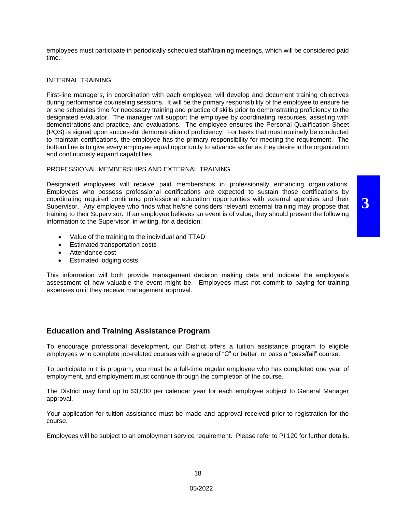employees must participate in periodically scheduled staff/training meetings, which will be considered paid time.

#### INTERNAL TRAINING

First-line managers, in coordination with each employee, will develop and document training objectives during performance counseling sessions. It will be the primary responsibility of the employee to ensure he or she schedules time for necessary training and practice of skills prior to demonstrating proficiency to the designated evaluator. The manager will support the employee by coordinating resources, assisting with demonstrations and practice, and evaluations. The employee ensures the Personal Qualification Sheet (PQS) is signed upon successful demonstration of proficiency. For tasks that must routinely be conducted to maintain certifications, the employee has the primary responsibility for meeting the requirement. The bottom line is to give every employee equal opportunity to advance as far as they desire in the organization and continuously expand capabilities.

#### PROFESSIONAL MEMBERSHIPS AND EXTERNAL TRAINING

Designated employees will receive paid memberships in professionally enhancing organizations. Employees who possess professional certifications are expected to sustain those certifications by coordinating required continuing professional education opportunities with external agencies and their Supervisor. Any employee who finds what he/she considers relevant external training may propose that training to their Supervisor. If an employee believes an event is of value, they should present the following information to the Supervisor, in writing, for a decision:

**3**

- Value of the training to the individual and TTAD
- Estimated transportation costs
- Attendance cost
- Estimated lodging costs

This information will both provide management decision making data and indicate the employee's assessment of how valuable the event might be. Employees must not commit to paying for training expenses until they receive management approval.

#### **Education and Training Assistance Program**

To encourage professional development, our District offers a tuition assistance program to eligible employees who complete job-related courses with a grade of "C" or better, or pass a "pass/fail" course.

To participate in this program, you must be a full-time regular employee who has completed one year of employment, and employment must continue through the completion of the course.

The District may fund up to \$3,000 per calendar year for each employee subject to General Manager approval.

Your application for tuition assistance must be made and approval received prior to registration for the course.

Employees will be subject to an employment service requirement. Please refer to PI 120 for further details.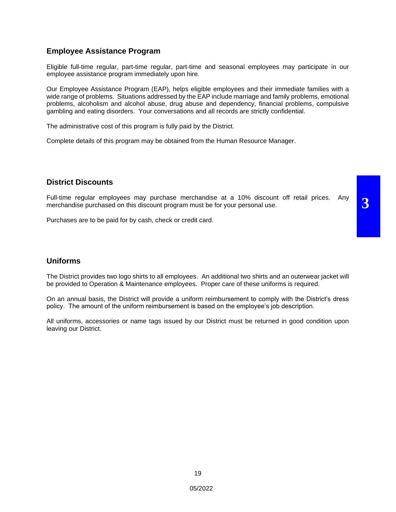#### **Employee Assistance Program**

Eligible full-time regular, part-time regular, part-time and seasonal employees may participate in our employee assistance program immediately upon hire.

Our Employee Assistance Program (EAP), helps eligible employees and their immediate families with a wide range of problems. Situations addressed by the EAP include marriage and family problems, emotional problems, alcoholism and alcohol abuse, drug abuse and dependency, financial problems, compulsive gambling and eating disorders. Your conversations and all records are strictly confidential.

The administrative cost of this program is fully paid by the District.

Complete details of this program may be obtained from the Human Resource Manager.

#### **District Discounts**

Full-time regular employees may purchase merchandise at a 10% discount off retail prices. Any merchandise purchased on this discount program must be for your personal use.

**3**

Purchases are to be paid for by cash, check or credit card.

#### **Uniforms**

The District provides two logo shirts to all employees. An additional two shirts and an outerwear jacket will be provided to Operation & Maintenance employees. Proper care of these uniforms is required.

On an annual basis, the District will provide a uniform reimbursement to comply with the District's dress policy. The amount of the uniform reimbursement is based on the employee's job description.

All uniforms, accessories or name tags issued by our District must be returned in good condition upon leaving our District.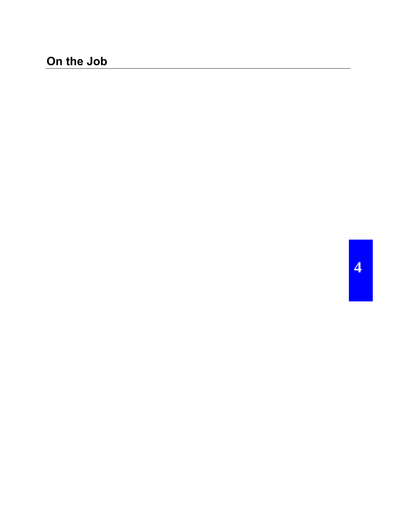# **On the Job**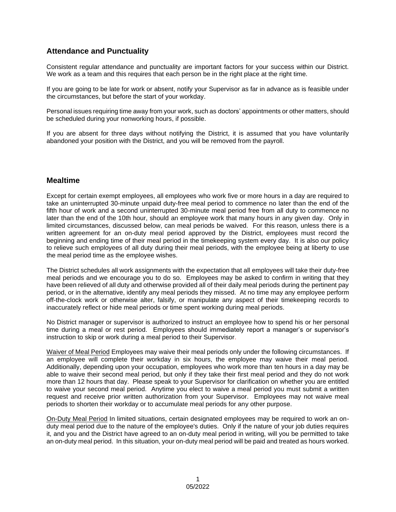## **Attendance and Punctuality**

Consistent regular attendance and punctuality are important factors for your success within our District. We work as a team and this requires that each person be in the right place at the right time.

If you are going to be late for work or absent, notify your Supervisor as far in advance as is feasible under the circumstances, but before the start of your workday.

Personal issues requiring time away from your work, such as doctors' appointments or other matters, should be scheduled during your nonworking hours, if possible.

If you are absent for three days without notifying the District, it is assumed that you have voluntarily abandoned your position with the District, and you will be removed from the payroll.

#### **Mealtime**

Except for certain exempt employees, all employees who work five or more hours in a day are required to take an uninterrupted 30-minute unpaid duty-free meal period to commence no later than the end of the fifth hour of work and a second uninterrupted 30-minute meal period free from all duty to commence no later than the end of the 10th hour, should an employee work that many hours in any given day. Only in limited circumstances, discussed below, can meal periods be waived. For this reason, unless there is a written agreement for an on-duty meal period approved by the District, employees must record the beginning and ending time of their meal period in the timekeeping system every day. It is also our policy to relieve such employees of all duty during their meal periods, with the employee being at liberty to use the meal period time as the employee wishes.

The District schedules all work assignments with the expectation that all employees will take their duty-free meal periods and we encourage you to do so. Employees may be asked to confirm in writing that they have been relieved of all duty and otherwise provided all of their daily meal periods during the pertinent pay period, or in the alternative, identify any meal periods they missed. At no time may any employee perform off-the-clock work or otherwise alter, falsify, or manipulate any aspect of their timekeeping records to inaccurately reflect or hide meal periods or time spent working during meal periods.

No District manager or supervisor is authorized to instruct an employee how to spend his or her personal time during a meal or rest period. Employees should immediately report a manager's or supervisor's instruction to skip or work during a meal period to their Supervisor.

Waiver of Meal Period Employees may waive their meal periods only under the following circumstances. If an employee will complete their workday in six hours, the employee may waive their meal period. Additionally, depending upon your occupation, employees who work more than ten hours in a day may be able to waive their second meal period, but only if they take their first meal period and they do not work more than 12 hours that day. Please speak to your Supervisor for clarification on whether you are entitled to waive your second meal period. Anytime you elect to waive a meal period you must submit a written request and receive prior written authorization from your Supervisor. Employees may not waive meal periods to shorten their workday or to accumulate meal periods for any other purpose.

On-Duty Meal Period In limited situations, certain designated employees may be required to work an onduty meal period due to the nature of the employee's duties. Only if the nature of your job duties requires it, and you and the District have agreed to an on-duty meal period in writing, will you be permitted to take an on-duty meal period. In this situation, your on-duty meal period will be paid and treated as hours worked.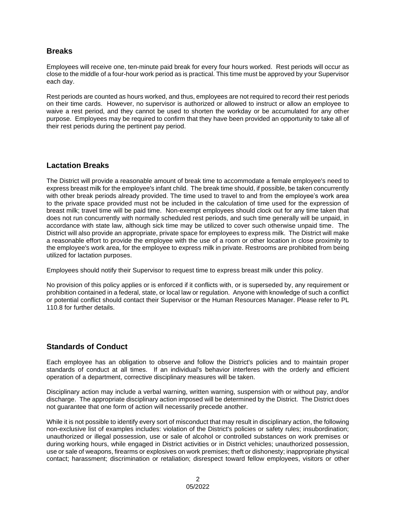#### **Breaks**

Employees will receive one, ten-minute paid break for every four hours worked. Rest periods will occur as close to the middle of a four-hour work period as is practical. This time must be approved by your Supervisor each day.

Rest periods are counted as hours worked, and thus, employees are not required to record their rest periods on their time cards. However, no supervisor is authorized or allowed to instruct or allow an employee to waive a rest period, and they cannot be used to shorten the workday or be accumulated for any other purpose. Employees may be required to confirm that they have been provided an opportunity to take all of their rest periods during the pertinent pay period.

#### **Lactation Breaks**

The District will provide a reasonable amount of break time to accommodate a female employee's need to express breast milk for the employee's infant child. The break time should, if possible, be taken concurrently with other break periods already provided. The time used to travel to and from the employee's work area to the private space provided must not be included in the calculation of time used for the expression of breast milk; travel time will be paid time. Non-exempt employees should clock out for any time taken that does not run concurrently with normally scheduled rest periods, and such time generally will be unpaid, in accordance with state law, although sick time may be utilized to cover such otherwise unpaid time. The District will also provide an appropriate, private space for employees to express milk. The District will make a reasonable effort to provide the employee with the use of a room or other location in close proximity to the employee's work area, for the employee to express milk in private. Restrooms are prohibited from being utilized for lactation purposes.

Employees should notify their Supervisor to request time to express breast milk under this policy.

No provision of this policy applies or is enforced if it conflicts with, or is superseded by, any requirement or prohibition contained in a federal, state, or local law or regulation. Anyone with knowledge of such a conflict or potential conflict should contact their Supervisor or the Human Resources Manager. Please refer to PL 110.8 for further details.

## **Standards of Conduct**

Each employee has an obligation to observe and follow the District's policies and to maintain proper standards of conduct at all times. If an individual's behavior interferes with the orderly and efficient operation of a department, corrective disciplinary measures will be taken.

Disciplinary action may include a verbal warning, written warning, suspension with or without pay, and/or discharge. The appropriate disciplinary action imposed will be determined by the District. The District does not guarantee that one form of action will necessarily precede another.

While it is not possible to identify every sort of misconduct that may result in disciplinary action, the following non-exclusive list of examples includes: violation of the District's policies or safety rules; insubordination; unauthorized or illegal possession, use or sale of alcohol or controlled substances on work premises or during working hours, while engaged in District activities or in District vehicles; unauthorized possession, use or sale of weapons, firearms or explosives on work premises; theft or dishonesty; inappropriate physical contact; harassment; discrimination or retaliation; disrespect toward fellow employees, visitors or other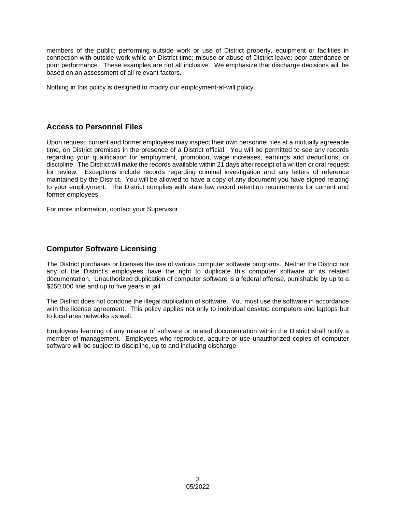members of the public; performing outside work or use of District property, equipment or facilities in connection with outside work while on District time; misuse or abuse of District leave; poor attendance or poor performance. These examples are not all inclusive. We emphasize that discharge decisions will be based on an assessment of all relevant factors.

Nothing in this policy is designed to modify our employment-at-will policy.

## **Access to Personnel Files**

Upon request, current and former employees may inspect their own personnel files at a mutually agreeable time, on District premises in the presence of a District official. You will be permitted to see any records regarding your qualification for employment, promotion, wage increases, earnings and deductions, or discipline. The District will make the records available within 21 days after receipt of a written or oral request for review. Exceptions include records regarding criminal investigation and any letters of reference maintained by the District. You will be allowed to have a copy of any document you have signed relating to your employment. The District complies with state law record retention requirements for current and former employees.

For more information, contact your Supervisor.

#### **Computer Software Licensing**

The District purchases or licenses the use of various computer software programs. Neither the District nor any of the District's employees have the right to duplicate this computer software or its related documentation. Unauthorized duplication of computer software is a federal offense, punishable by up to a \$250,000 fine and up to five years in jail.

The District does not condone the illegal duplication of software. You must use the software in accordance with the license agreement. This policy applies not only to individual desktop computers and laptops but to local area networks as well.

Employees learning of any misuse of software or related documentation within the District shall notify a member of management. Employees who reproduce, acquire or use unauthorized copies of computer software will be subject to discipline, up to and including discharge.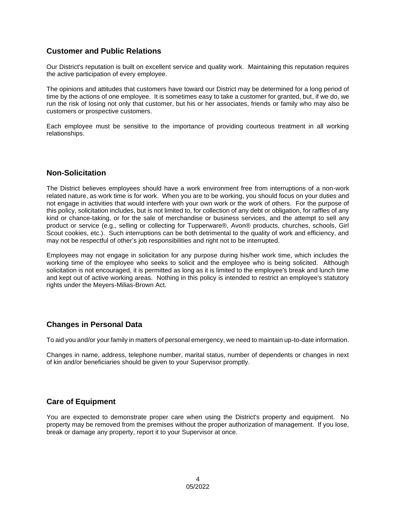## **Customer and Public Relations**

Our District's reputation is built on excellent service and quality work. Maintaining this reputation requires the active participation of every employee.

The opinions and attitudes that customers have toward our District may be determined for a long period of time by the actions of one employee. It is sometimes easy to take a customer for granted, but, if we do, we run the risk of losing not only that customer, but his or her associates, friends or family who may also be customers or prospective customers.

Each employee must be sensitive to the importance of providing courteous treatment in all working relationships.

#### **Non-Solicitation**

The District believes employees should have a work environment free from interruptions of a non-work related nature, as work time is for work. When you are to be working, you should focus on your duties and not engage in activities that would interfere with your own work or the work of others. For the purpose of this policy, solicitation includes, but is not limited to, for collection of any debt or obligation, for raffles of any kind or chance-taking, or for the sale of merchandise or business services, and the attempt to sell any product or service (e.g., selling or collecting for Tupperware®, Avon® products, churches, schools, Girl Scout cookies, etc.). Such interruptions can be both detrimental to the quality of work and efficiency, and may not be respectful of other's job responsibilities and right not to be interrupted.

Employees may not engage in solicitation for any purpose during his/her work time, which includes the working time of the employee who seeks to solicit and the employee who is being solicited. Although solicitation is not encouraged, it is permitted as long as it is limited to the employee's break and lunch time and kept out of active working areas. Nothing in this policy is intended to restrict an employee's statutory rights under the Meyers-Milias-Brown Act.

#### **Changes in Personal Data**

To aid you and/or your family in matters of personal emergency, we need to maintain up-to-date information.

Changes in name, address, telephone number, marital status, number of dependents or changes in next of kin and/or beneficiaries should be given to your Supervisor promptly.

## **Care of Equipment**

You are expected to demonstrate proper care when using the District's property and equipment. No property may be removed from the premises without the proper authorization of management. If you lose, break or damage any property, report it to your Supervisor at once.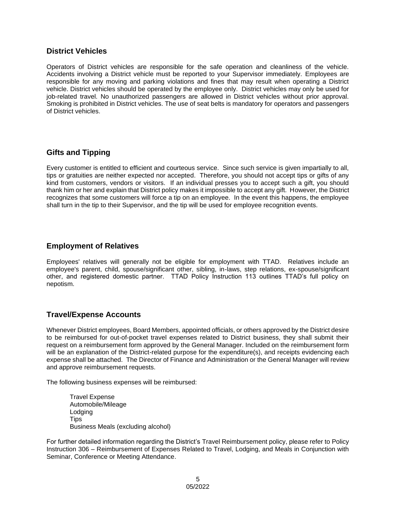#### **District Vehicles**

Operators of District vehicles are responsible for the safe operation and cleanliness of the vehicle. Accidents involving a District vehicle must be reported to your Supervisor immediately. Employees are responsible for any moving and parking violations and fines that may result when operating a District vehicle. District vehicles should be operated by the employee only. District vehicles may only be used for job-related travel. No unauthorized passengers are allowed in District vehicles without prior approval. Smoking is prohibited in District vehicles. The use of seat belts is mandatory for operators and passengers of District vehicles.

## **Gifts and Tipping**

Every customer is entitled to efficient and courteous service. Since such service is given impartially to all, tips or gratuities are neither expected nor accepted. Therefore, you should not accept tips or gifts of any kind from customers, vendors or visitors. If an individual presses you to accept such a gift, you should thank him or her and explain that District policy makes it impossible to accept any gift. However, the District recognizes that some customers will force a tip on an employee. In the event this happens, the employee shall turn in the tip to their Supervisor, and the tip will be used for employee recognition events.

#### **Employment of Relatives**

Employees' relatives will generally not be eligible for employment with TTAD. Relatives include an employee's parent, child, spouse/significant other, sibling, in-laws, step relations, ex-spouse/significant other, and registered domestic partner. TTAD Policy Instruction 113 outlines TTAD's full policy on nepotism.

## **Travel/Expense Accounts**

Whenever District employees, Board Members, appointed officials, or others approved by the District desire to be reimbursed for out-of-pocket travel expenses related to District business, they shall submit their request on a reimbursement form approved by the General Manager. Included on the reimbursement form will be an explanation of the District-related purpose for the expenditure(s), and receipts evidencing each expense shall be attached. The Director of Finance and Administration or the General Manager will review and approve reimbursement requests.

The following business expenses will be reimbursed:

Travel Expense Automobile/Mileage Lodging **Tips** Business Meals (excluding alcohol)

For further detailed information regarding the District's Travel Reimbursement policy, please refer to Policy Instruction 306 – Reimbursement of Expenses Related to Travel, Lodging, and Meals in Conjunction with Seminar, Conference or Meeting Attendance.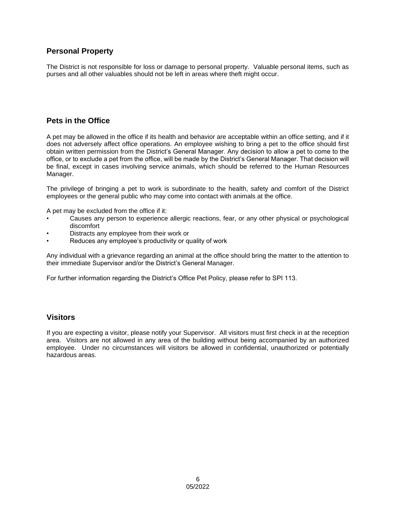## **Personal Property**

The District is not responsible for loss or damage to personal property. Valuable personal items, such as purses and all other valuables should not be left in areas where theft might occur.

## **Pets in the Office**

A pet may be allowed in the office if its health and behavior are acceptable within an office setting, and if it does not adversely affect office operations. An employee wishing to bring a pet to the office should first obtain written permission from the District's General Manager. Any decision to allow a pet to come to the office, or to exclude a pet from the office, will be made by the District's General Manager. That decision will be final, except in cases involving service animals, which should be referred to the Human Resources Manager.

The privilege of bringing a pet to work is subordinate to the health, safety and comfort of the District employees or the general public who may come into contact with animals at the office.

A pet may be excluded from the office if it:

- Causes any person to experience allergic reactions, fear, or any other physical or psychological discomfort
- Distracts any employee from their work or
- Reduces any employee's productivity or quality of work

Any individual with a grievance regarding an animal at the office should bring the matter to the attention to their immediate Supervisor and/or the District's General Manager.

For further information regarding the District's Office Pet Policy, please refer to SPI 113.

#### **Visitors**

If you are expecting a visitor, please notify your Supervisor. All visitors must first check in at the reception area. Visitors are not allowed in any area of the building without being accompanied by an authorized employee. Under no circumstances will visitors be allowed in confidential, unauthorized or potentially hazardous areas.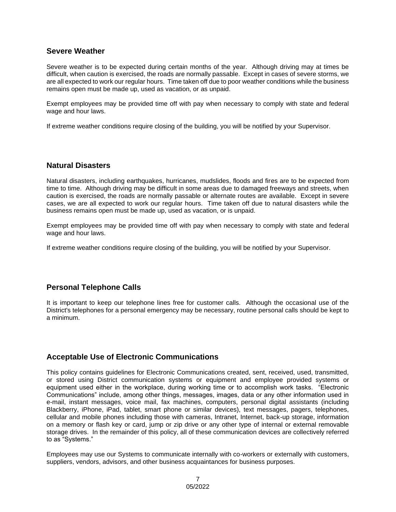#### **Severe Weather**

Severe weather is to be expected during certain months of the year. Although driving may at times be difficult, when caution is exercised, the roads are normally passable. Except in cases of severe storms, we are all expected to work our regular hours. Time taken off due to poor weather conditions while the business remains open must be made up, used as vacation, or as unpaid.

Exempt employees may be provided time off with pay when necessary to comply with state and federal wage and hour laws.

If extreme weather conditions require closing of the building, you will be notified by your Supervisor.

#### **Natural Disasters**

Natural disasters, including earthquakes, hurricanes, mudslides, floods and fires are to be expected from time to time. Although driving may be difficult in some areas due to damaged freeways and streets, when caution is exercised, the roads are normally passable or alternate routes are available. Except in severe cases, we are all expected to work our regular hours. Time taken off due to natural disasters while the business remains open must be made up, used as vacation, or is unpaid.

Exempt employees may be provided time off with pay when necessary to comply with state and federal wage and hour laws.

If extreme weather conditions require closing of the building, you will be notified by your Supervisor.

## **Personal Telephone Calls**

It is important to keep our telephone lines free for customer calls. Although the occasional use of the District's telephones for a personal emergency may be necessary, routine personal calls should be kept to a minimum.

#### **Acceptable Use of Electronic Communications**

This policy contains guidelines for Electronic Communications created, sent, received, used, transmitted, or stored using District communication systems or equipment and employee provided systems or equipment used either in the workplace, during working time or to accomplish work tasks. "Electronic Communications" include, among other things, messages, images, data or any other information used in e-mail, instant messages, voice mail, fax machines, computers, personal digital assistants (including Blackberry, iPhone, iPad, tablet, smart phone or similar devices), text messages, pagers, telephones, cellular and mobile phones including those with cameras, Intranet, Internet, back-up storage, information on a memory or flash key or card, jump or zip drive or any other type of internal or external removable storage drives. In the remainder of this policy, all of these communication devices are collectively referred to as "Systems."

Employees may use our Systems to communicate internally with co-workers or externally with customers, suppliers, vendors, advisors, and other business acquaintances for business purposes.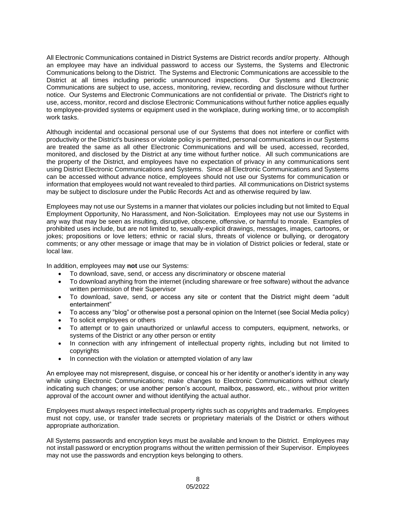All Electronic Communications contained in District Systems are District records and/or property. Although an employee may have an individual password to access our Systems, the Systems and Electronic Communications belong to the District. The Systems and Electronic Communications are accessible to the District at all times including periodic unannounced inspections. Our Systems and Electronic Communications are subject to use, access, monitoring, review, recording and disclosure without further notice. Our Systems and Electronic Communications are not confidential or private. The District's right to use, access, monitor, record and disclose Electronic Communications without further notice applies equally to employee-provided systems or equipment used in the workplace, during working time, or to accomplish work tasks.

Although incidental and occasional personal use of our Systems that does not interfere or conflict with productivity or the District's business or violate policy is permitted, personal communications in our Systems are treated the same as all other Electronic Communications and will be used, accessed, recorded, monitored, and disclosed by the District at any time without further notice. All such communications are the property of the District, and employees have no expectation of privacy in any communications sent using District Electronic Communications and Systems. Since all Electronic Communications and Systems can be accessed without advance notice, employees should not use our Systems for communication or information that employees would not want revealed to third parties. All communications on District systems may be subject to disclosure under the Public Records Act and as otherwise required by law.

Employees may not use our Systems in a manner that violates our policies including but not limited to Equal Employment Opportunity, No Harassment, and Non-Solicitation. Employees may not use our Systems in any way that may be seen as insulting, disruptive, obscene, offensive, or harmful to morale. Examples of prohibited uses include, but are not limited to, sexually-explicit drawings, messages, images, cartoons, or jokes; propositions or love letters; ethnic or racial slurs, threats of violence or bullying, or derogatory comments; or any other message or image that may be in violation of District policies or federal, state or local law.

In addition, employees may **not** use our Systems:

- To download, save, send, or access any discriminatory or obscene material
- To download anything from the internet (including shareware or free software) without the advance written permission of their Supervisor
- To download, save, send, or access any site or content that the District might deem "adult entertainment"
- To access any "blog" or otherwise post a personal opinion on the Internet (see Social Media policy)
- To solicit employees or others
- To attempt or to gain unauthorized or unlawful access to computers, equipment, networks, or systems of the District or any other person or entity
- In connection with any infringement of intellectual property rights, including but not limited to copyrights
- In connection with the violation or attempted violation of any law

An employee may not misrepresent, disguise, or conceal his or her identity or another's identity in any way while using Electronic Communications; make changes to Electronic Communications without clearly indicating such changes; or use another person's account, mailbox, password, etc., without prior written approval of the account owner and without identifying the actual author.

Employees must always respect intellectual property rights such as copyrights and trademarks. Employees must not copy, use, or transfer trade secrets or proprietary materials of the District or others without appropriate authorization.

All Systems passwords and encryption keys must be available and known to the District. Employees may not install password or encryption programs without the written permission of their Supervisor. Employees may not use the passwords and encryption keys belonging to others.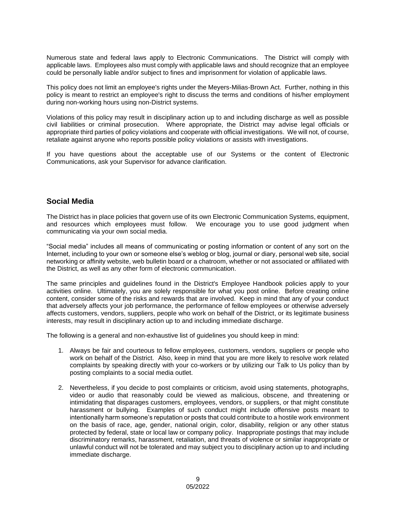Numerous state and federal laws apply to Electronic Communications. The District will comply with applicable laws. Employees also must comply with applicable laws and should recognize that an employee could be personally liable and/or subject to fines and imprisonment for violation of applicable laws.

This policy does not limit an employee's rights under the Meyers-Milias-Brown Act. Further, nothing in this policy is meant to restrict an employee's right to discuss the terms and conditions of his/her employment during non-working hours using non-District systems.

Violations of this policy may result in disciplinary action up to and including discharge as well as possible civil liabilities or criminal prosecution. Where appropriate, the District may advise legal officials or appropriate third parties of policy violations and cooperate with official investigations. We will not, of course, retaliate against anyone who reports possible policy violations or assists with investigations.

If you have questions about the acceptable use of our Systems or the content of Electronic Communications, ask your Supervisor for advance clarification.

#### **Social Media**

The District has in place policies that govern use of its own Electronic Communication Systems, equipment, and resources which employees must follow. We encourage you to use good judgment when communicating via your own social media.

"Social media" includes all means of communicating or posting information or content of any sort on the Internet, including to your own or someone else's weblog or blog, journal or diary, personal web site, social networking or affinity website, web bulletin board or a chatroom, whether or not associated or affiliated with the District, as well as any other form of electronic communication.

The same principles and guidelines found in the District's Employee Handbook policies apply to your activities online. Ultimately, you are solely responsible for what you post online. Before creating online content, consider some of the risks and rewards that are involved. Keep in mind that any of your conduct that adversely affects your job performance, the performance of fellow employees or otherwise adversely affects customers, vendors, suppliers, people who work on behalf of the District, or its legitimate business interests, may result in disciplinary action up to and including immediate discharge.

The following is a general and non-exhaustive list of guidelines you should keep in mind:

- 1. Always be fair and courteous to fellow employees, customers, vendors, suppliers or people who work on behalf of the District. Also, keep in mind that you are more likely to resolve work related complaints by speaking directly with your co-workers or by utilizing our Talk to Us policy than by posting complaints to a social media outlet.
- 2. Nevertheless, if you decide to post complaints or criticism, avoid using statements, photographs, video or audio that reasonably could be viewed as malicious, obscene, and threatening or intimidating that disparages customers, employees, vendors, or suppliers, or that might constitute harassment or bullying. Examples of such conduct might include offensive posts meant to intentionally harm someone's reputation or posts that could contribute to a hostile work environment on the basis of race, age, gender, national origin, color, disability, religion or any other status protected by federal, state or local law or company policy. Inappropriate postings that may include discriminatory remarks, harassment, retaliation, and threats of violence or similar inappropriate or unlawful conduct will not be tolerated and may subject you to disciplinary action up to and including immediate discharge.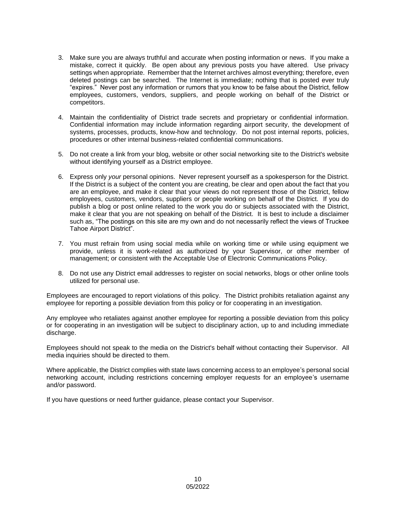- 3. Make sure you are always truthful and accurate when posting information or news. If you make a mistake, correct it quickly. Be open about any previous posts you have altered. Use privacy settings when appropriate. Remember that the Internet archives almost everything; therefore, even deleted postings can be searched. The Internet is immediate; nothing that is posted ever truly "expires." Never post any information or rumors that you know to be false about the District, fellow employees, customers, vendors, suppliers, and people working on behalf of the District or competitors.
- 4. Maintain the confidentiality of District trade secrets and proprietary or confidential information. Confidential information may include information regarding airport security, the development of systems, processes, products, know-how and technology. Do not post internal reports, policies, procedures or other internal business-related confidential communications.
- 5. Do not create a link from your blog, website or other social networking site to the District's website without identifying yourself as a District employee.
- 6. Express only *your* personal opinions. Never represent yourself as a spokesperson for the District. If the District is a subject of the content you are creating, be clear and open about the fact that you are an employee, and make it clear that your views do not represent those of the District, fellow employees, customers, vendors, suppliers or people working on behalf of the District. If you do publish a blog or post online related to the work you do or subjects associated with the District, make it clear that you are not speaking on behalf of the District. It is best to include a disclaimer such as, "The postings on this site are my own and do not necessarily reflect the views of Truckee Tahoe Airport District".
- 7. You must refrain from using social media while on working time or while using equipment we provide, unless it is work-related as authorized by your Supervisor, or other member of management; or consistent with the Acceptable Use of Electronic Communications Policy.
- 8. Do not use any District email addresses to register on social networks, blogs or other online tools utilized for personal use.

Employees are encouraged to report violations of this policy. The District prohibits retaliation against any employee for reporting a possible deviation from this policy or for cooperating in an investigation.

Any employee who retaliates against another employee for reporting a possible deviation from this policy or for cooperating in an investigation will be subject to disciplinary action, up to and including immediate discharge.

Employees should not speak to the media on the District's behalf without contacting their Supervisor. All media inquiries should be directed to them.

Where applicable, the District complies with state laws concerning access to an employee's personal social networking account, including restrictions concerning employer requests for an employee's username and/or password.

If you have questions or need further guidance, please contact your Supervisor.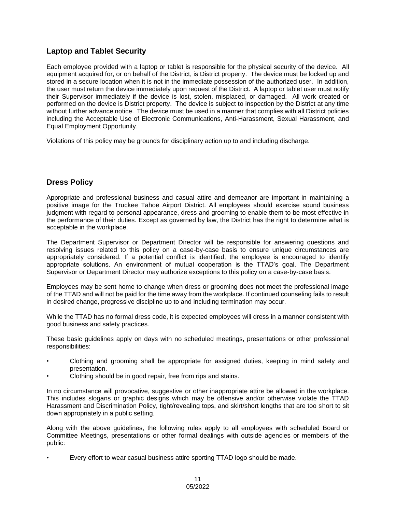## **Laptop and Tablet Security**

Each employee provided with a laptop or tablet is responsible for the physical security of the device. All equipment acquired for, or on behalf of the District, is District property. The device must be locked up and stored in a secure location when it is not in the immediate possession of the authorized user. In addition, the user must return the device immediately upon request of the District. A laptop or tablet user must notify their Supervisor immediately if the device is lost, stolen, misplaced, or damaged. All work created or performed on the device is District property. The device is subject to inspection by the District at any time without further advance notice. The device must be used in a manner that complies with all District policies including the Acceptable Use of Electronic Communications, Anti-Harassment, Sexual Harassment, and Equal Employment Opportunity.

Violations of this policy may be grounds for disciplinary action up to and including discharge.

## **Dress Policy**

Appropriate and professional business and casual attire and demeanor are important in maintaining a positive image for the Truckee Tahoe Airport District. All employees should exercise sound business judgment with regard to personal appearance, dress and grooming to enable them to be most effective in the performance of their duties. Except as governed by law, the District has the right to determine what is acceptable in the workplace.

The Department Supervisor or Department Director will be responsible for answering questions and resolving issues related to this policy on a case-by-case basis to ensure unique circumstances are appropriately considered. If a potential conflict is identified, the employee is encouraged to identify appropriate solutions. An environment of mutual cooperation is the TTAD's goal. The Department Supervisor or Department Director may authorize exceptions to this policy on a case-by-case basis.

Employees may be sent home to change when dress or grooming does not meet the professional image of the TTAD and will not be paid for the time away from the workplace. If continued counseling fails to result in desired change, progressive discipline up to and including termination may occur.

While the TTAD has no formal dress code, it is expected employees will dress in a manner consistent with good business and safety practices.

These basic guidelines apply on days with no scheduled meetings, presentations or other professional responsibilities:

- Clothing and grooming shall be appropriate for assigned duties, keeping in mind safety and presentation.
- Clothing should be in good repair, free from rips and stains.

In no circumstance will provocative, suggestive or other inappropriate attire be allowed in the workplace. This includes slogans or graphic designs which may be offensive and/or otherwise violate the TTAD Harassment and Discrimination Policy, tight/revealing tops, and skirt/short lengths that are too short to sit down appropriately in a public setting.

Along with the above guidelines, the following rules apply to all employees with scheduled Board or Committee Meetings, presentations or other formal dealings with outside agencies or members of the public:

• Every effort to wear casual business attire sporting TTAD logo should be made.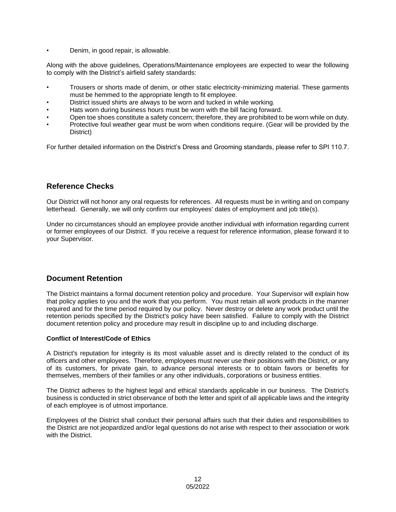• Denim, in good repair, is allowable.

Along with the above guidelines, Operations/Maintenance employees are expected to wear the following to comply with the District's airfield safety standards:

- Trousers or shorts made of denim, or other static electricity-minimizing material. These garments must be hemmed to the appropriate length to fit employee.
- District issued shirts are always to be worn and tucked in while working.
- Hats worn during business hours must be worn with the bill facing forward.
- Open toe shoes constitute a safety concern; therefore, they are prohibited to be worn while on duty.
- Protective foul weather gear must be worn when conditions require. (Gear will be provided by the District)

For further detailed information on the District's Dress and Grooming standards, please refer to SPI 110.7.

#### **Reference Checks**

Our District will not honor any oral requests for references. All requests must be in writing and on company letterhead. Generally, we will only confirm our employees' dates of employment and job title(s).

Under no circumstances should an employee provide another individual with information regarding current or former employees of our District. If you receive a request for reference information, please forward it to your Supervisor.

#### **Document Retention**

The District maintains a formal document retention policy and procedure. Your Supervisor will explain how that policy applies to you and the work that you perform. You must retain all work products in the manner required and for the time period required by our policy. Never destroy or delete any work product until the retention periods specified by the District's policy have been satisfied. Failure to comply with the District document retention policy and procedure may result in discipline up to and including discharge.

#### **Conflict of Interest/Code of Ethics**

A District's reputation for integrity is its most valuable asset and is directly related to the conduct of its officers and other employees. Therefore, employees must never use their positions with the District, or any of its customers, for private gain, to advance personal interests or to obtain favors or benefits for themselves, members of their families or any other individuals, corporations or business entities.

The District adheres to the highest legal and ethical standards applicable in our business. The District's business is conducted in strict observance of both the letter and spirit of all applicable laws and the integrity of each employee is of utmost importance.

Employees of the District shall conduct their personal affairs such that their duties and responsibilities to the District are not jeopardized and/or legal questions do not arise with respect to their association or work with the District.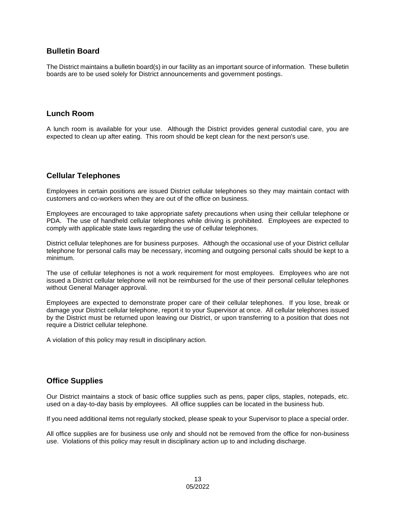#### **Bulletin Board**

The District maintains a bulletin board(s) in our facility as an important source of information. These bulletin boards are to be used solely for District announcements and government postings.

#### **Lunch Room**

A lunch room is available for your use. Although the District provides general custodial care, you are expected to clean up after eating. This room should be kept clean for the next person's use.

## **Cellular Telephones**

Employees in certain positions are issued District cellular telephones so they may maintain contact with customers and co-workers when they are out of the office on business.

Employees are encouraged to take appropriate safety precautions when using their cellular telephone or PDA. The use of handheld cellular telephones while driving is prohibited. Employees are expected to comply with applicable state laws regarding the use of cellular telephones.

District cellular telephones are for business purposes. Although the occasional use of your District cellular telephone for personal calls may be necessary, incoming and outgoing personal calls should be kept to a minimum.

The use of cellular telephones is not a work requirement for most employees. Employees who are not issued a District cellular telephone will not be reimbursed for the use of their personal cellular telephones without General Manager approval.

Employees are expected to demonstrate proper care of their cellular telephones. If you lose, break or damage your District cellular telephone, report it to your Supervisor at once. All cellular telephones issued by the District must be returned upon leaving our District, or upon transferring to a position that does not require a District cellular telephone.

A violation of this policy may result in disciplinary action.

## **Office Supplies**

Our District maintains a stock of basic office supplies such as pens, paper clips, staples, notepads, etc. used on a day-to-day basis by employees. All office supplies can be located in the business hub.

If you need additional items not regularly stocked, please speak to your Supervisor to place a special order.

All office supplies are for business use only and should not be removed from the office for non-business use. Violations of this policy may result in disciplinary action up to and including discharge.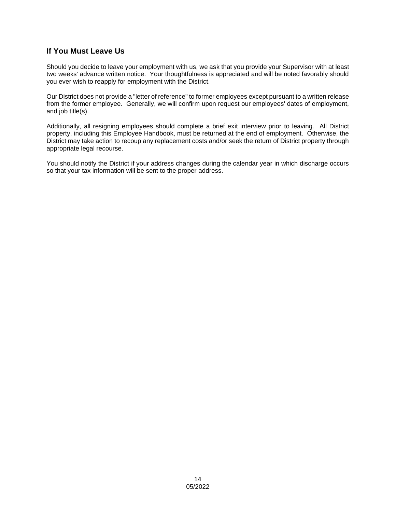## **If You Must Leave Us**

Should you decide to leave your employment with us, we ask that you provide your Supervisor with at least two weeks' advance written notice. Your thoughtfulness is appreciated and will be noted favorably should you ever wish to reapply for employment with the District.

Our District does not provide a "letter of reference" to former employees except pursuant to a written release from the former employee. Generally, we will confirm upon request our employees' dates of employment, and job title(s).

Additionally, all resigning employees should complete a brief exit interview prior to leaving. All District property, including this Employee Handbook, must be returned at the end of employment. Otherwise, the District may take action to recoup any replacement costs and/or seek the return of District property through appropriate legal recourse.

You should notify the District if your address changes during the calendar year in which discharge occurs so that your tax information will be sent to the proper address.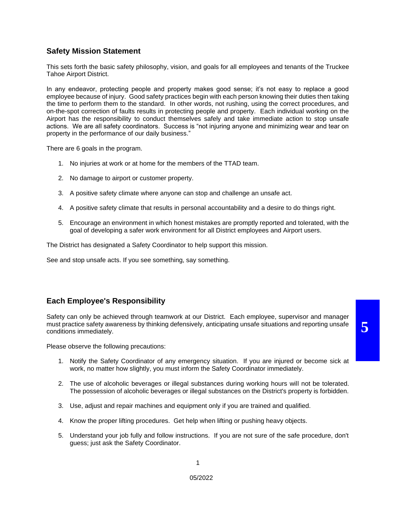#### **Safety Mission Statement**

This sets forth the basic safety philosophy, vision, and goals for all employees and tenants of the Truckee Tahoe Airport District.

In any endeavor, protecting people and property makes good sense; it's not easy to replace a good employee because of injury. Good safety practices begin with each person knowing their duties then taking the time to perform them to the standard. In other words, not rushing, using the correct procedures, and on-the-spot correction of faults results in protecting people and property. Each individual working on the Airport has the responsibility to conduct themselves safely and take immediate action to stop unsafe actions. We are all safety coordinators. Success is "not injuring anyone and minimizing wear and tear on property in the performance of our daily business."

There are 6 goals in the program.

- 1. No injuries at work or at home for the members of the TTAD team.
- 2. No damage to airport or customer property.
- 3. A positive safety climate where anyone can stop and challenge an unsafe act.
- 4. A positive safety climate that results in personal accountability and a desire to do things right.
- 5. Encourage an environment in which honest mistakes are promptly reported and tolerated, with the goal of developing a safer work environment for all District employees and Airport users.

The District has designated a Safety Coordinator to help support this mission.

See and stop unsafe acts. If you see something, say something.

## **Each Employee's Responsibility**

Safety can only be achieved through teamwork at our District. Each employee, supervisor and manager must practice safety awareness by thinking defensively, anticipating unsafe situations and reporting unsafe conditions immediately.

Please observe the following precautions:

- 1. Notify the Safety Coordinator of any emergency situation. If you are injured or become sick at work, no matter how slightly, you must inform the Safety Coordinator immediately.
- 2. The use of alcoholic beverages or illegal substances during working hours will not be tolerated. The possession of alcoholic beverages or illegal substances on the District's property is forbidden.
- 3. Use, adjust and repair machines and equipment only if you are trained and qualified.
- 4. Know the proper lifting procedures. Get help when lifting or pushing heavy objects.
- 5. Understand your job fully and follow instructions. If you are not sure of the safe procedure, don't guess; just ask the Safety Coordinator.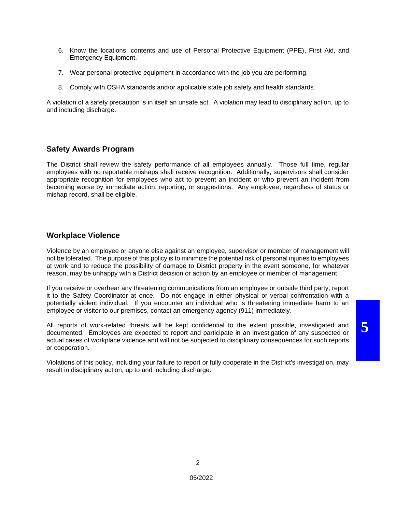- 6. Know the locations, contents and use of Personal Protective Equipment (PPE), First Aid, and Emergency Equipment.
- 7. Wear personal protective equipment in accordance with the job you are performing.
- 8. Comply with OSHA standards and/or applicable state job safety and health standards.

A violation of a safety precaution is in itself an unsafe act. A violation may lead to disciplinary action, up to and including discharge.

#### **Safety Awards Program**

The District shall review the safety performance of all employees annually. Those full time, regular employees with no reportable mishaps shall receive recognition. Additionally, supervisors shall consider appropriate recognition for employees who act to prevent an incident or who prevent an incident from becoming worse by immediate action, reporting, or suggestions. Any employee, regardless of status or mishap record, shall be eligible.

#### **Workplace Violence**

Violence by an employee or anyone else against an employee, supervisor or member of management will not be tolerated. The purpose of this policy is to minimize the potential risk of personal injuries to employees at work and to reduce the possibility of damage to District property in the event someone, for whatever reason, may be unhappy with a District decision or action by an employee or member of management.

If you receive or overhear any threatening communications from an employee or outside third party, report it to the Safety Coordinator at once. Do not engage in either physical or verbal confrontation with a potentially violent individual. If you encounter an individual who is threatening immediate harm to an employee or visitor to our premises, contact an emergency agency (911) immediately.

All reports of work-related threats will be kept confidential to the extent possible, investigated and documented. Employees are expected to report and participate in an investigation of any suspected or actual cases of workplace violence and will not be subjected to disciplinary consequences for such reports or cooperation.

Violations of this policy, including your failure to report or fully cooperate in the District's investigation, may result in disciplinary action, up to and including discharge.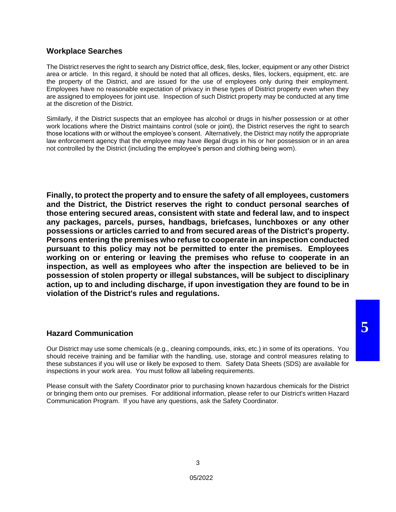#### **Workplace Searches**

The District reserves the right to search any District office, desk, files, locker, equipment or any other District area or article. In this regard, it should be noted that all offices, desks, files, lockers, equipment, etc. are the property of the District, and are issued for the use of employees only during their employment. Employees have no reasonable expectation of privacy in these types of District property even when they are assigned to employees for joint use. Inspection of such District property may be conducted at any time at the discretion of the District.

Similarly, if the District suspects that an employee has alcohol or drugs in his/her possession or at other work locations where the District maintains control (sole or joint), the District reserves the right to search those locations with or without the employee's consent. Alternatively, the District may notify the appropriate law enforcement agency that the employee may have illegal drugs in his or her possession or in an area not controlled by the District (including the employee's person and clothing being worn).

**Finally, to protect the property and to ensure the safety of all employees, customers and the District, the District reserves the right to conduct personal searches of those entering secured areas, consistent with state and federal law, and to inspect any packages, parcels, purses, handbags, briefcases, lunchboxes or any other possessions or articles carried to and from secured areas of the District's property. Persons entering the premises who refuse to cooperate in an inspection conducted pursuant to this policy may not be permitted to enter the premises. Employees working on or entering or leaving the premises who refuse to cooperate in an inspection, as well as employees who after the inspection are believed to be in possession of stolen property or illegal substances, will be subject to disciplinary action, up to and including discharge, if upon investigation they are found to be in violation of the District's rules and regulations.**

#### **Hazard Communication**

Our District may use some chemicals (e.g., cleaning compounds, inks, etc.) in some of its operations. You should receive training and be familiar with the handling, use, storage and control measures relating to these substances if you will use or likely be exposed to them. Safety Data Sheets (SDS) are available for inspections in your work area. You must follow all labeling requirements.

Please consult with the Safety Coordinator prior to purchasing known hazardous chemicals for the District or bringing them onto our premises. For additional information, please refer to our District's written Hazard Communication Program. If you have any questions, ask the Safety Coordinator.

**5**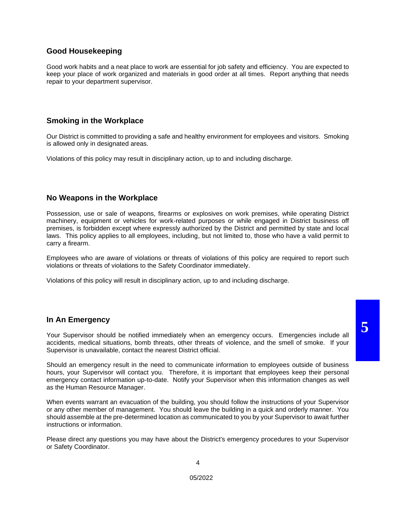## **Good Housekeeping**

Good work habits and a neat place to work are essential for job safety and efficiency. You are expected to keep your place of work organized and materials in good order at all times. Report anything that needs repair to your department supervisor.

## **Smoking in the Workplace**

Our District is committed to providing a safe and healthy environment for employees and visitors. Smoking is allowed only in designated areas.

Violations of this policy may result in disciplinary action, up to and including discharge.

#### **No Weapons in the Workplace**

Possession, use or sale of weapons, firearms or explosives on work premises, while operating District machinery, equipment or vehicles for work-related purposes or while engaged in District business off premises, is forbidden except where expressly authorized by the District and permitted by state and local laws. This policy applies to all employees, including, but not limited to, those who have a valid permit to carry a firearm.

Employees who are aware of violations or threats of violations of this policy are required to report such violations or threats of violations to the Safety Coordinator immediately.

Violations of this policy will result in disciplinary action, up to and including discharge.

#### **In An Emergency**

Your Supervisor should be notified immediately when an emergency occurs. Emergencies include all accidents, medical situations, bomb threats, other threats of violence, and the smell of smoke. If your Supervisor is unavailable, contact the nearest District official.

Should an emergency result in the need to communicate information to employees outside of business hours, your Supervisor will contact you. Therefore, it is important that employees keep their personal emergency contact information up-to-date. Notify your Supervisor when this information changes as well as the Human Resource Manager.

When events warrant an evacuation of the building, you should follow the instructions of your Supervisor or any other member of management. You should leave the building in a quick and orderly manner. You should assemble at the pre-determined location as communicated to you by your Supervisor to await further instructions or information.

Please direct any questions you may have about the District's emergency procedures to your Supervisor or Safety Coordinator.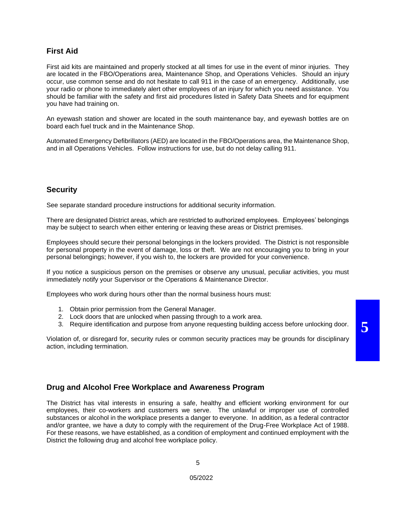## **First Aid**

First aid kits are maintained and properly stocked at all times for use in the event of minor injuries. They are located in the FBO/Operations area, Maintenance Shop, and Operations Vehicles. Should an injury occur, use common sense and do not hesitate to call 911 in the case of an emergency. Additionally, use your radio or phone to immediately alert other employees of an injury for which you need assistance. You should be familiar with the safety and first aid procedures listed in Safety Data Sheets and for equipment you have had training on.

An eyewash station and shower are located in the south maintenance bay, and eyewash bottles are on board each fuel truck and in the Maintenance Shop.

Automated Emergency Defibrillators (AED) are located in the FBO/Operations area, the Maintenance Shop, and in all Operations Vehicles. Follow instructions for use, but do not delay calling 911.

#### **Security**

See separate standard procedure instructions for additional security information.

There are designated District areas, which are restricted to authorized employees. Employees' belongings may be subject to search when either entering or leaving these areas or District premises.

Employees should secure their personal belongings in the lockers provided. The District is not responsible for personal property in the event of damage, loss or theft. We are not encouraging you to bring in your personal belongings; however, if you wish to, the lockers are provided for your convenience.

If you notice a suspicious person on the premises or observe any unusual, peculiar activities, you must immediately notify your Supervisor or the Operations & Maintenance Director.

Employees who work during hours other than the normal business hours must:

- 1. Obtain prior permission from the General Manager.
- 2. Lock doors that are unlocked when passing through to a work area.
- 3. Require identification and purpose from anyone requesting building access before unlocking door.

Violation of, or disregard for, security rules or common security practices may be grounds for disciplinary action, including termination.

## **Drug and Alcohol Free Workplace and Awareness Program**

The District has vital interests in ensuring a safe, healthy and efficient working environment for our employees, their co-workers and customers we serve. The unlawful or improper use of controlled substances or alcohol in the workplace presents a danger to everyone. In addition, as a federal contractor and/or grantee, we have a duty to comply with the requirement of the Drug-Free Workplace Act of 1988. For these reasons, we have established, as a condition of employment and continued employment with the District the following drug and alcohol free workplace policy.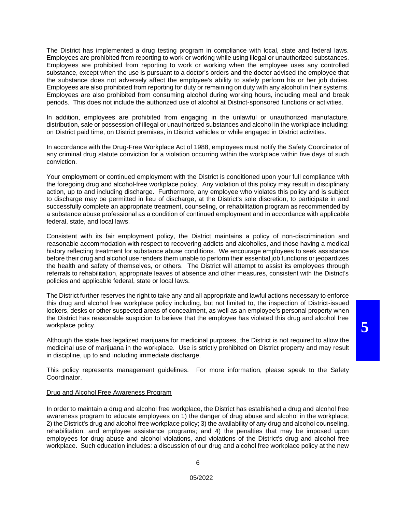The District has implemented a drug testing program in compliance with local, state and federal laws. Employees are prohibited from reporting to work or working while using illegal or unauthorized substances. Employees are prohibited from reporting to work or working when the employee uses any controlled substance, except when the use is pursuant to a doctor's orders and the doctor advised the employee that the substance does not adversely affect the employee's ability to safely perform his or her job duties. Employees are also prohibited from reporting for duty or remaining on duty with any alcohol in their systems. Employees are also prohibited from consuming alcohol during working hours, including meal and break periods. This does not include the authorized use of alcohol at District-sponsored functions or activities.

In addition, employees are prohibited from engaging in the unlawful or unauthorized manufacture, distribution, sale or possession of illegal or unauthorized substances and alcohol in the workplace including: on District paid time, on District premises, in District vehicles or while engaged in District activities.

In accordance with the Drug-Free Workplace Act of 1988, employees must notify the Safety Coordinator of any criminal drug statute conviction for a violation occurring within the workplace within five days of such conviction.

Your employment or continued employment with the District is conditioned upon your full compliance with the foregoing drug and alcohol-free workplace policy. Any violation of this policy may result in disciplinary action, up to and including discharge. Furthermore, any employee who violates this policy and is subject to discharge may be permitted in lieu of discharge, at the District's sole discretion, to participate in and successfully complete an appropriate treatment, counseling, or rehabilitation program as recommended by a substance abuse professional as a condition of continued employment and in accordance with applicable federal, state, and local laws.

Consistent with its fair employment policy, the District maintains a policy of non-discrimination and reasonable accommodation with respect to recovering addicts and alcoholics, and those having a medical history reflecting treatment for substance abuse conditions. We encourage employees to seek assistance before their drug and alcohol use renders them unable to perform their essential job functions or jeopardizes the health and safety of themselves, or others. The District will attempt to assist its employees through referrals to rehabilitation, appropriate leaves of absence and other measures, consistent with the District's policies and applicable federal, state or local laws.

The District further reserves the right to take any and all appropriate and lawful actions necessary to enforce this drug and alcohol free workplace policy including, but not limited to, the inspection of District-issued lockers, desks or other suspected areas of concealment, as well as an employee's personal property when the District has reasonable suspicion to believe that the employee has violated this drug and alcohol free workplace policy.

Although the state has legalized marijuana for medicinal purposes, the District is not required to allow the medicinal use of marijuana in the workplace. Use is strictly prohibited on District property and may result in discipline, up to and including immediate discharge.

This policy represents management guidelines. For more information, please speak to the Safety Coordinator.

#### Drug and Alcohol Free Awareness Program

In order to maintain a drug and alcohol free workplace, the District has established a drug and alcohol free awareness program to educate employees on 1) the danger of drug abuse and alcohol in the workplace; 2) the District's drug and alcohol free workplace policy; 3) the availability of any drug and alcohol counseling, rehabilitation, and employee assistance programs; and 4) the penalties that may be imposed upon employees for drug abuse and alcohol violations, and violations of the District's drug and alcohol free workplace. Such education includes: a discussion of our drug and alcohol free workplace policy at the new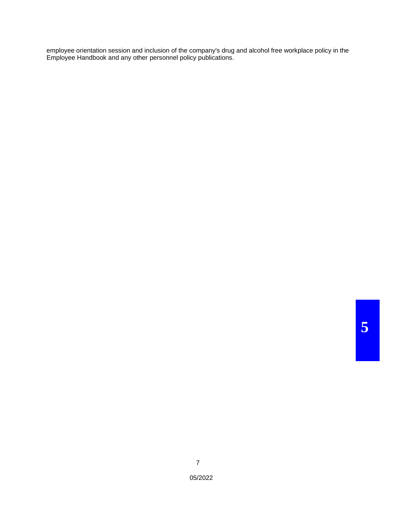employee orientation session and inclusion of the company's drug and alcohol free workplace policy in the Employee Handbook and any other personnel policy publications.